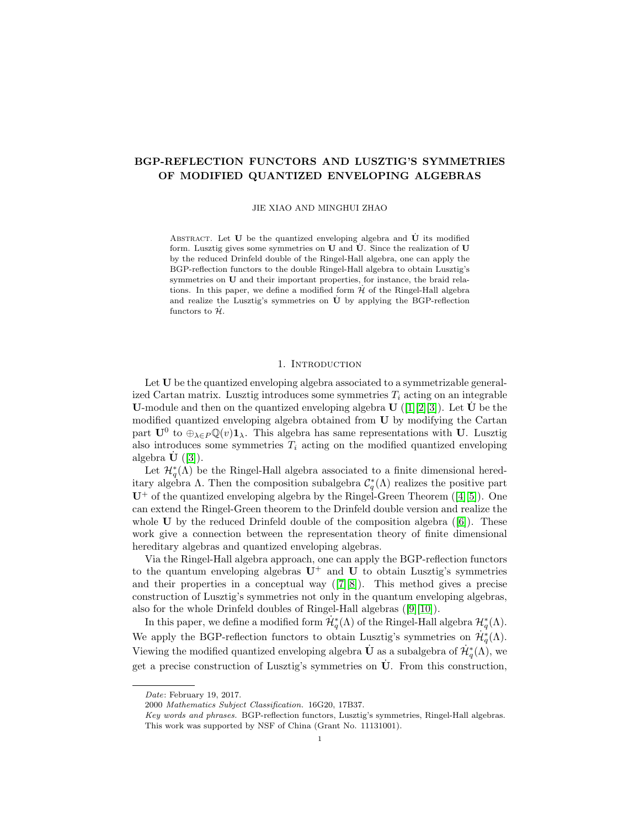# BGP-REFLECTION FUNCTORS AND LUSZTIG'S SYMMETRIES OF MODIFIED QUANTIZED ENVELOPING ALGEBRAS

JIE XIAO AND MINGHUI ZHAO

ABSTRACT. Let  $U$  be the quantized enveloping algebra and  $\dot{U}$  its modified form. Lusztig gives some symmetries on  $U$  and  $\dot{U}$ . Since the realization of  $U$ by the reduced Drinfeld double of the Ringel-Hall algebra, one can apply the BGP-reflection functors to the double Ringel-Hall algebra to obtain Lusztig's symmetries on U and their important properties, for instance, the braid relations. In this paper, we define a modified form  $\mathcal H$  of the Ringel-Hall algebra and realize the Lusztig's symmetries on  $\dot{U}$  by applying the BGP-reflection functors to  $\dot{\mathcal{H}}$ .

#### 1. INTRODUCTION

Let U be the quantized enveloping algebra associated to a symmetrizable generalized Cartan matrix. Lusztig introduces some symmetries  $T_i$  acting on an integrable **U**-module and then on the quantized enveloping algebra  $\mathbf{U}$  ([\[1\]](#page-23-0)[\[2\]](#page-23-1)[\[3\]](#page-23-2)). Let  $\mathbf{U}$  be the modified quantized enveloping algebra obtained from U by modifying the Cartan part  $\mathbf{U}^0$  to  $\oplus_{\lambda \in P} \mathbb{Q}(v) \mathbf{1}_{\lambda}$ . This algebra has same representations with U. Lusztig also introduces some symmetries  $T_i$  acting on the modified quantized enveloping algebra  $\mathbf{U}$  ([\[3\]](#page-23-2)).

Let  $\mathcal{H}_q^*(\Lambda)$  be the Ringel-Hall algebra associated to a finite dimensional hereditary algebra  $\Lambda$ . Then the composition subalgebra  $\mathcal{C}_q^*(\Lambda)$  realizes the positive part  $U^+$ of the quantized enveloping algebra by the Ringel-Green Theorem ([\[4\]](#page-23-3)[\[5\]](#page-23-4)). One can extend the Ringel-Green theorem to the Drinfeld double version and realize the whole $U$  by the reduced Drinfeld double of the composition algebra  $([6])$  $([6])$  $([6])$ . These work give a connection between the representation theory of finite dimensional hereditary algebras and quantized enveloping algebras.

Via the Ringel-Hall algebra approach, one can apply the BGP-reflection functors to the quantum enveloping algebras  $U^+$  and U to obtain Lusztig's symmetries andtheir properties in a conceptual way  $([7][8])$  $([7][8])$  $([7][8])$  $([7][8])$ . This method gives a precise construction of Lusztig's symmetries not only in the quantum enveloping algebras, also for the whole Drinfeld doubles of Ringel-Hall algebras([\[9\]](#page-23-8)[\[10\]](#page-23-9)).

In this paper, we define a modified form  $\dot{\mathcal{H}}_q^*(\Lambda)$  of the Ringel-Hall algebra  $\mathcal{H}_q^*(\Lambda)$ . We apply the BGP-reflection functors to obtain Lusztig's symmetries on  $\mathcal{H}_q^*(\Lambda)$ . Viewing the modified quantized enveloping algebra  $\dot{\mathbf{U}}$  as a subalgebra of  $\dot{\mathcal{H}}_q^*(\Lambda)$ , we get a precise construction of Lusztig's symmetries on  $\dot{\mathbf{U}}$ . From this construction,

Date: February 19, 2017.

<sup>2000</sup> Mathematics Subject Classification. 16G20, 17B37.

Key words and phrases. BGP-reflection functors, Lusztig's symmetries, Ringel-Hall algebras. This work was supported by NSF of China (Grant No. 11131001).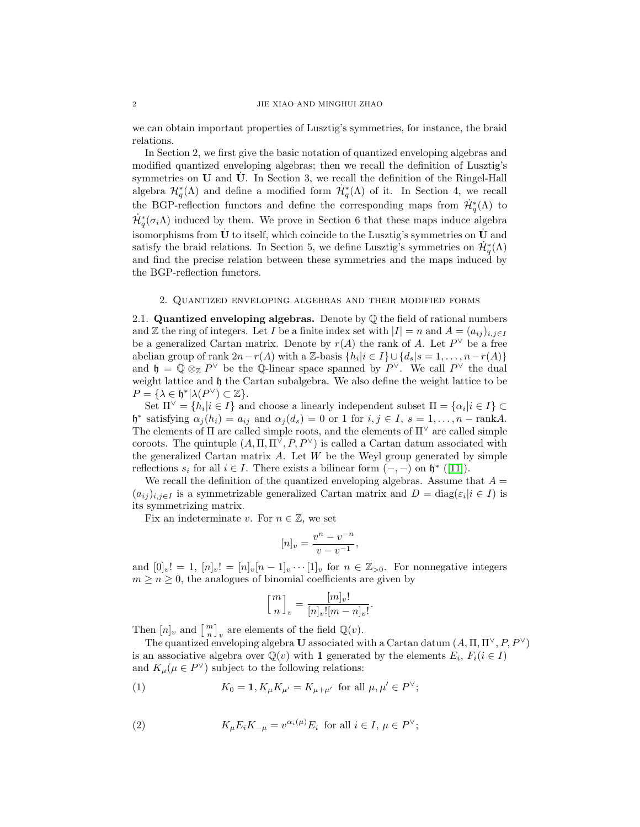we can obtain important properties of Lusztig's symmetries, for instance, the braid relations.

In Section 2, we first give the basic notation of quantized enveloping algebras and modified quantized enveloping algebras; then we recall the definition of Lusztig's symmetries on  $U$  and  $\dot{U}$ . In Section 3, we recall the definition of the Ringel-Hall algebra  $\mathcal{H}^*_{q}(\Lambda)$  and define a modified form  $\mathcal{H}^*_{q}(\Lambda)$  of it. In Section 4, we recall the BGP-reflection functors and define the corresponding maps from  $\dot{\mathcal{H}}_q^*(\Lambda)$  to  $\dot{\mathcal{H}}_q^*(\sigma_i\Lambda)$  induced by them. We prove in Section 6 that these maps induce algebra isomorphisms from U to itself, which coincide to the Lusztig's symmetries on U and satisfy the braid relations. In Section 5, we define Lusztig's symmetries on  $\dot{\mathcal{H}}_q^*(\Lambda)$ and find the precise relation between these symmetries and the maps induced by the BGP-reflection functors.

### 2. Quantized enveloping algebras and their modified forms

2.1. **Quantized enveloping algebras.** Denote by  $\mathbb Q$  the field of rational numbers and Z the ring of integers. Let I be a finite index set with  $|I| = n$  and  $A = (a_{ij})_{i,j\in I}$ be a generalized Cartan matrix. Denote by  $r(A)$  the rank of A. Let  $P^{\vee}$  be a free abelian group of rank  $2n-r(A)$  with a Z-basis  $\{h_i | i \in I\} \cup \{d_s | s = 1, \ldots, n-r(A)\}\$ and  $\mathfrak{h} = \mathbb{Q} \otimes_{\mathbb{Z}} P^{\vee}$  be the  $\mathbb{Q}$ -linear space spanned by  $P^{\vee}$ . We call  $P^{\vee}$  the dual weight lattice and  $\mathfrak h$  the Cartan subalgebra. We also define the weight lattice to be  $P = {\lambda \in \mathfrak{h}^* | \lambda(P^{\vee}) \subset \mathbb{Z}}.$ 

Set  $\Pi^{\vee} = \{h_i | i \in I\}$  and choose a linearly independent subset  $\Pi = \{\alpha_i | i \in I\} \subset$  $\mathfrak{h}^*$  satisfying  $\alpha_j(h_i) = a_{ij}$  and  $\alpha_j(d_s) = 0$  or 1 for  $i, j \in I$ ,  $s = 1, \ldots, n - \text{rank}A$ . The elements of  $\Pi$  are called simple roots, and the elements of  $\Pi^{\vee}$  are called simple coroots. The quintuple  $(A, \Pi, \Pi^{\vee}, P, P^{\vee})$  is called a Cartan datum associated with the generalized Cartan matrix  $A$ . Let  $W$  be the Weyl group generated by simple reflections  $s_i$  for all  $i \in I$ . There exists a bilinear form  $(-, -)$  on  $\mathfrak{h}^*$  ([\[11\]](#page-23-10)).

We recall the definition of the quantized enveloping algebras. Assume that  $A =$  $(a_{ij})_{i,j\in I}$  is a symmetrizable generalized Cartan matrix and  $D = \text{diag}(\varepsilon_i | i \in I)$  is its symmetrizing matrix.

Fix an indeterminate v. For  $n \in \mathbb{Z}$ , we set

$$
[n]_v = \frac{v^n - v^{-n}}{v - v^{-1}},
$$

and  $[0]_v! = 1$ ,  $[n]_v! = [n]_v[n-1]_v \cdots [1]_v$  for  $n \in \mathbb{Z}_{>0}$ . For nonnegative integers  $m \geq n \geq 0$ , the analogues of binomial coefficients are given by

$$
\left[\frac{m}{n}\right]_v = \frac{[m]_v!}{[n]_v![m-n]_v!}.
$$

Then  $[n]_v$  and  $\left[\begin{array}{c}m\\n\end{array}\right]_v$  are elements of the field  $\mathbb{Q}(v)$ .

The quantized enveloping algebra U associated with a Cartan datum  $(A, \Pi, \Pi^{\vee}, P, P^{\vee})$ is an associative algebra over  $\overline{\mathbb{Q}}(v)$  with 1 generated by the elements  $E_i, F_i(i \in I)$ and  $K_{\mu}(\mu \in P^{\vee})$  subject to the following relations:

(1) 
$$
K_0 = 1, K_\mu K_{\mu'} = K_{\mu + \mu'}
$$
 for all  $\mu, \mu' \in P^{\vee}$ ;

(2) 
$$
K_{\mu} E_i K_{-\mu} = v^{\alpha_i(\mu)} E_i \text{ for all } i \in I, \mu \in P^{\vee};
$$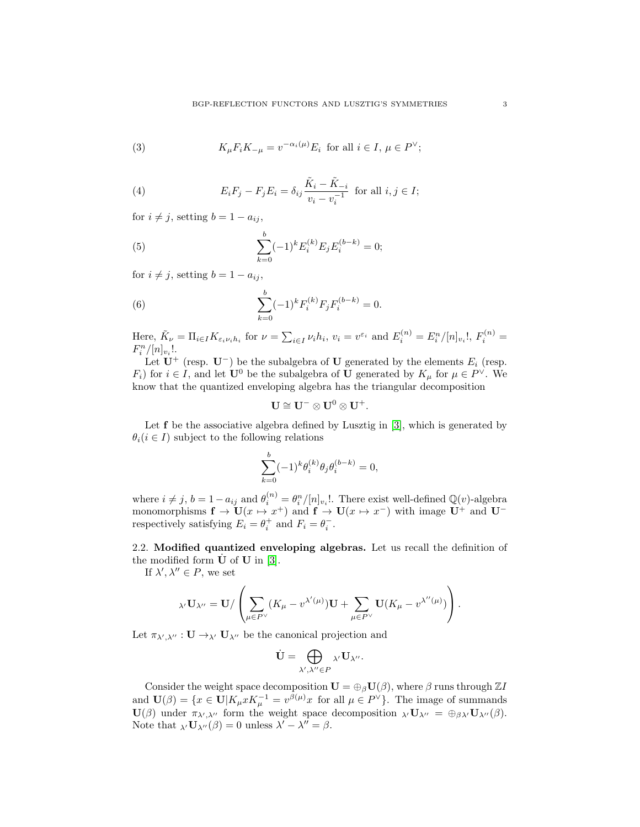(3) 
$$
K_{\mu}F_{i}K_{-\mu} = v^{-\alpha_{i}(\mu)}E_{i} \text{ for all } i \in I, \mu \in P^{\vee};
$$

(4) 
$$
E_i F_j - F_j E_i = \delta_{ij} \frac{\tilde{K}_i - \tilde{K}_{-i}}{v_i - v_i^{-1}} \text{ for all } i, j \in I;
$$

for  $i \neq j$ , setting  $b = 1 - a_{ij}$ ,

(5) 
$$
\sum_{k=0}^{b} (-1)^{k} E_{i}^{(k)} E_{j} E_{i}^{(b-k)} = 0;
$$

for  $i \neq j$ , setting  $b = 1 - a_{ij}$ ,

(6) 
$$
\sum_{k=0}^{b} (-1)^{k} F_{i}^{(k)} F_{j} F_{i}^{(b-k)} = 0.
$$

Here,  $\tilde{K}_{\nu} = \prod_{i \in I} K_{\varepsilon_i \nu_i h_i}$  for  $\nu = \sum_{i \in I} \nu_i h_i$ ,  $v_i = v^{\varepsilon_i}$  and  $E_i^{(n)} = E_i^n / [n]_{v_i}!$ ,  $F_i^{(n)} =$  $F_i^n/[n]_{v_i}!$ .

Let  $\mathbf{U}^+$  (resp.  $\mathbf{U}^-$ ) be the subalgebra of U generated by the elements  $E_i$  (resp.  $F_i$ ) for  $i \in I$ , and let  $\mathbf{U}^0$  be the subalgebra of  $\mathbf{U}$  generated by  $K_{\mu}$  for  $\mu \in P^{\vee}$ . We know that the quantized enveloping algebra has the triangular decomposition

$$
\mathbf{U}\cong \mathbf{U}^-\otimes \mathbf{U}^0\otimes \mathbf{U}^+.
$$

Let **f** be the associative algebra defined by Lusztig in [\[3\]](#page-23-2), which is generated by  $\theta_i$  ( $i \in I$ ) subject to the following relations

$$
\sum_{k=0}^{b} (-1)^{k} \theta_{i}^{(k)} \theta_{j} \theta_{i}^{(b-k)} = 0,
$$

where  $i \neq j$ ,  $b = 1 - a_{ij}$  and  $\theta_i^{(n)} = \theta_i^n / [n]_{v_i}!$ . There exist well-defined  $\mathbb{Q}(v)$ -algebra monomorphisms  $f \to U(x \mapsto x^+)$  and  $f \to U(x \mapsto x^-)$  with image  $U^+$  and  $U^$ respectively satisfying  $E_i = \theta_i^+$  and  $F_i = \theta_i^-$ .

2.2. Modified quantized enveloping algebras. Let us recall the definition of the modified form  $U$  of  $U$  in [\[3\]](#page-23-2).

If  $\lambda', \lambda'' \in P$ , we set

$$
{}_{\lambda'}\mathbf{U}_{\lambda''}=\mathbf{U}/\left(\sum_{\mu\in P^{\vee}}(K_{\mu}-v^{\lambda'(\mu)})\mathbf{U}+\sum_{\mu\in P^{\vee}}\mathbf{U}(K_{\mu}-v^{\lambda''(\mu)})\right).
$$

Let  $\pi_{\lambda',\lambda''}: \mathbf{U} \to_{\lambda'} \mathbf{U}_{\lambda''}$  be the canonical projection and

$$
\dot{\mathbf{U}} = \bigoplus_{\lambda',\lambda'' \in P} {}_{\lambda'}\mathbf{U}_{\lambda''}.
$$

Consider the weight space decomposition  $\mathbf{U} = \bigoplus_{\beta} \mathbf{U}(\beta)$ , where  $\beta$  runs through  $\mathbb{Z}I$ and  $\mathbf{U}(\beta) = \{x \in \mathbf{U} | K_{\mu} x K_{\mu}^{-1} = v^{\beta(\mu)} x$  for all  $\mu \in P^{\vee} \}$ . The image of summands  $\mathbf{U}(\beta)$  under  $\pi_{\lambda',\lambda''}$  form the weight space decomposition  $_{\lambda'}\mathbf{U}_{\lambda''} = \bigoplus_{\beta\lambda'}\mathbf{U}_{\lambda''}(\beta)$ . Note that  $\chi(\mathbf{U}_{\lambda''}(\beta)) = 0$  unless  $\lambda' - \lambda'' = \beta$ .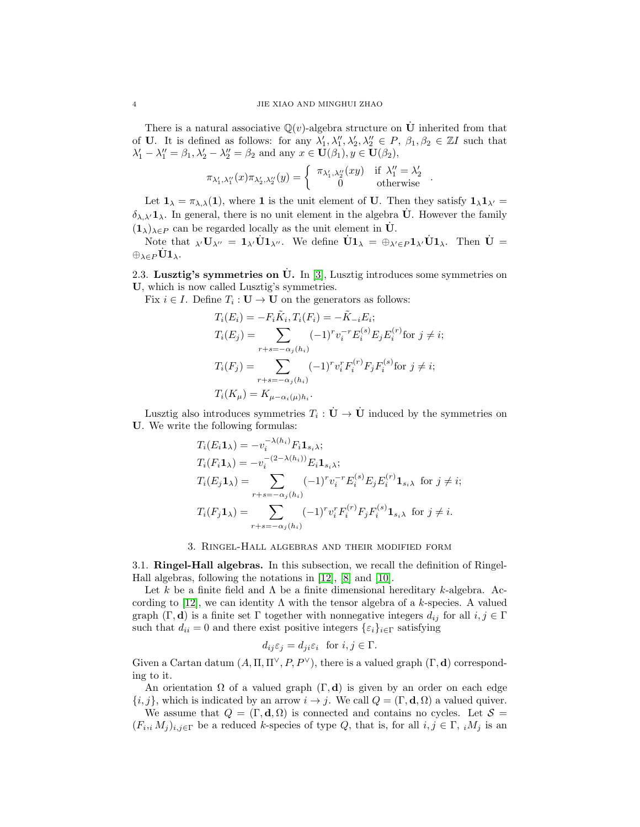There is a natural associative  $\mathbb{Q}(v)$ -algebra structure on  $\dot{\mathbf{U}}$  inherited from that of U. It is defined as follows: for any  $\lambda'_1, \lambda''_1, \lambda'_2, \lambda''_2 \in P$ ,  $\beta_1, \beta_2 \in \mathbb{Z}I$  such that  $\lambda'_1 - \lambda''_1 = \beta_1, \lambda'_2 - \lambda''_2 = \beta_2$  and any  $x \in \mathbf{U}(\beta_1), y \in \mathbf{U}(\beta_2)$ ,

$$
\pi_{\lambda'_1, \lambda''_1}(x)\pi_{\lambda'_2, \lambda''_2}(y) = \begin{cases} \pi_{\lambda'_1, \lambda''_2}(xy) & \text{if } \lambda''_1 = \lambda'_2 \\ 0 & \text{otherwise} \end{cases}.
$$

Let  $\mathbf{1}_{\lambda} = \pi_{\lambda,\lambda}(1)$ , where 1 is the unit element of U. Then they satisfy  $\mathbf{1}_{\lambda}\mathbf{1}_{\lambda'} =$  $\delta_{\lambda,\lambda'}\mathbf{1}_{\lambda}$ . In general, there is no unit element in the algebra  $\dot{\mathbf{U}}$ . However the family  $(1_\lambda)_{\lambda \in P}$  can be regarded locally as the unit element in  $\dot{\mathbf{U}}$ .

Note that  $\chi \cdot \mathbf{U}_{\lambda''} = \mathbf{1}_{\lambda'} \dot{\mathbf{U}} \mathbf{1}_{\lambda''}$ . We define  $\dot{\mathbf{U}} \mathbf{1}_{\lambda} = \bigoplus_{\lambda' \in P} \mathbf{1}_{\lambda'} \dot{\mathbf{U}} \mathbf{1}_{\lambda}$ . Then  $\dot{\mathbf{U}} =$  $\oplus_{\lambda\in P} \dot{\mathbf{U}}\mathbf{1}_{\lambda}.$ 

2.3. Lusztig's symmetries on U. In  $[3]$ , Lusztig introduces some symmetries on U, which is now called Lusztig's symmetries.

Fix  $i \in I$ . Define  $T_i : U \to U$  on the generators as follows:

$$
T_i(E_i) = -F_i \tilde{K}_i, T_i(F_i) = -\tilde{K}_{-i} E_i;
$$
  
\n
$$
T_i(E_j) = \sum_{r+s=-\alpha_j(h_i)} (-1)^r v_i^{-r} E_i^{(s)} E_j E_i^{(r)} \text{ for } j \neq i;
$$
  
\n
$$
T_i(F_j) = \sum_{r+s=-\alpha_j(h_i)} (-1)^r v_i^r F_i^{(r)} F_j F_i^{(s)} \text{ for } j \neq i;
$$
  
\n
$$
T_i(K_\mu) = K_{\mu-\alpha_i(\mu)h_i}.
$$

Lusztig also introduces symmetries  $T_i: \dot{\mathbf{U}} \to \dot{\mathbf{U}}$  induced by the symmetries on U. We write the following formulas:

$$
T_i(E_i \mathbf{1}_{\lambda}) = -v_i^{-\lambda(h_i)} F_i \mathbf{1}_{s_i \lambda};
$$
  
\n
$$
T_i(F_i \mathbf{1}_{\lambda}) = -v_i^{-(2-\lambda(h_i))} E_i \mathbf{1}_{s_i \lambda};
$$
  
\n
$$
T_i(E_j \mathbf{1}_{\lambda}) = \sum_{r+s=-\alpha_j(h_i)} (-1)^r v_i^{-r} E_i^{(s)} E_j E_i^{(r)} \mathbf{1}_{s_i \lambda} \text{ for } j \neq i;
$$
  
\n
$$
T_i(F_j \mathbf{1}_{\lambda}) = \sum_{r+s=-\alpha_j(h_i)} (-1)^r v_i^r F_i^{(r)} F_j F_i^{(s)} \mathbf{1}_{s_i \lambda} \text{ for } j \neq i.
$$

#### 3. Ringel-Hall algebras and their modified form

3.1. Ringel-Hall algebras. In this subsection, we recall the definition of Ringel-Hall algebras, following the notations in [\[12\]](#page-23-11), [\[8\]](#page-23-7) and [\[10\]](#page-23-9).

Let k be a finite field and  $\Lambda$  be a finite dimensional hereditary k-algebra. Ac-cording to [\[12\]](#page-23-11), we can identity  $\Lambda$  with the tensor algebra of a k-species. A valued graph  $(\Gamma, \mathbf{d})$  is a finite set  $\Gamma$  together with nonnegative integers  $d_{ij}$  for all  $i, j \in \Gamma$ such that  $d_{ii} = 0$  and there exist positive integers  $\{\varepsilon_i\}_{i \in \Gamma}$  satisfying

$$
d_{ij}\varepsilon_j = d_{ji}\varepsilon_i \text{ for } i, j \in \Gamma.
$$

Given a Cartan datum  $(A, \Pi, \Pi^{\vee}, P, P^{\vee})$ , there is a valued graph  $(\Gamma, d)$  corresponding to it.

An orientation  $\Omega$  of a valued graph  $(\Gamma, d)$  is given by an order on each edge  ${i, j}$ , which is indicated by an arrow  $i \rightarrow j$ . We call  $Q = (\Gamma, \mathbf{d}, \Omega)$  a valued quiver.

We assume that  $Q = (\Gamma, \mathbf{d}, \Omega)$  is connected and contains no cycles. Let  $S =$  $(F_i, i M_j)_{i,j \in \Gamma}$  be a reduced k-species of type Q, that is, for all  $i, j \in \Gamma$ ,  $i M_j$  is an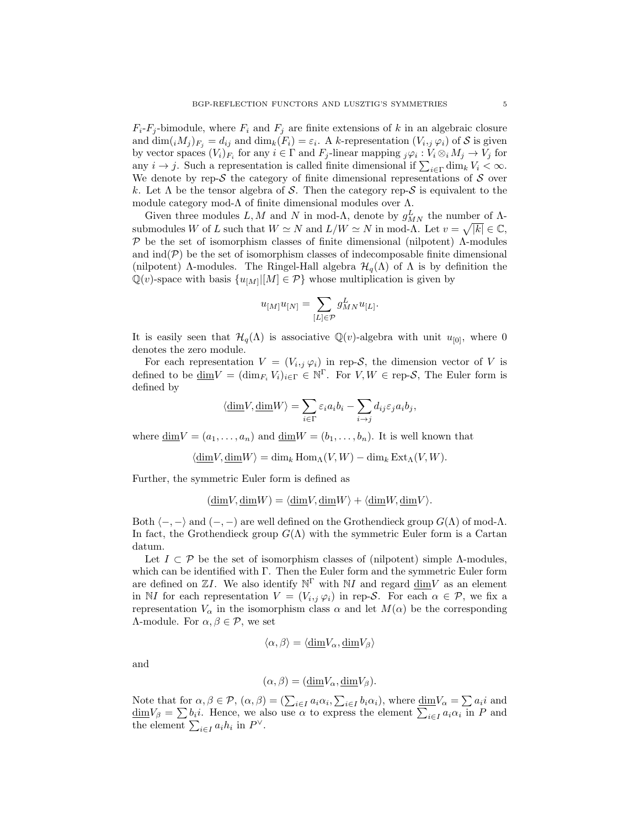$F_i$ -F<sub>i</sub>-bimodule, where  $F_i$  and  $F_j$  are finite extensions of k in an algebraic closure and  $\dim(iM_j)_{F_j} = d_{ij}$  and  $\dim_k(F_i) = \varepsilon_i$ . A k-representation  $(V_i, j \varphi_i)$  of S is given by vector spaces  $(V_i)_{F_i}$  for any  $i \in \Gamma$  and  $F_j$ -linear mapping  $_j\varphi_i: V_i \otimes_i M_j \to V_j$  for any  $i \to j$ . Such a representation is called finite dimensional if  $\sum_{i \in \Gamma} \dim_k V_i < \infty$ . We denote by rep- $S$  the category of finite dimensional representations of  $S$  over k. Let  $\Lambda$  be the tensor algebra of S. Then the category rep-S is equivalent to the module category mod- $\Lambda$  of finite dimensional modules over  $\Lambda$ .

Given three modules L, M and N in mod- $\Lambda$ , denote by  $g_{MN}^L$  the number of  $\Lambda$ submodules W of L such that  $W \simeq N$  and  $L/W \simeq N$  in mod- $\Lambda$ . Let  $v = \sqrt{|k|} \in \mathbb{C}$ ,  $P$  be the set of isomorphism classes of finite dimensional (nilpotent)  $Λ$ -modules and  $\text{ind}(\mathcal{P})$  be the set of isomorphism classes of indecomposable finite dimensional (nilpotent)  $\Lambda$ -modules. The Ringel-Hall algebra  $\mathcal{H}_q(\Lambda)$  of  $\Lambda$  is by definition the  $\mathbb{Q}(v)$ -space with basis  $\{u_{[M]}|[M]\in \mathcal{P}\}\$  whose multiplication is given by

$$
u_{[M]}u_{[N]}=\sum_{[L]\in\mathcal{P}}g^L_{MN}u_{[L]}.
$$

It is easily seen that  $\mathcal{H}_q(\Lambda)$  is associative  $\mathbb{Q}(v)$ -algebra with unit  $u_{[0]}$ , where 0 denotes the zero module.

For each representation  $V = (V_{i,j} \varphi_i)$  in rep-S, the dimension vector of V is defined to be  $\underline{\dim}V = (\dim_{F_i} V_i)_{i \in \Gamma} \in \mathbb{N}^{\Gamma}$ . For  $V, W \in \text{rep-}S$ , The Euler form is defined by

$$
\langle \underline{\dim} V, \underline{\dim} W \rangle = \sum_{i \in \Gamma} \varepsilon_i a_i b_i - \sum_{i \to j} d_{ij} \varepsilon_j a_i b_j,
$$

where  $\underline{\dim}V = (a_1, \ldots, a_n)$  and  $\underline{\dim}W = (b_1, \ldots, b_n)$ . It is well known that

 $\langle \dim V, \dim W \rangle = \dim_k \operatorname{Hom}_\Lambda(V, W) - \dim_k \operatorname{Ext}_\Lambda(V, W).$ 

Further, the symmetric Euler form is defined as

$$
(\underline{\dim} V, \underline{\dim} W) = \langle \underline{\dim} V, \underline{\dim} W \rangle + \langle \underline{\dim} W, \underline{\dim} V \rangle.
$$

Both  $\langle -, - \rangle$  and  $(-, -)$  are well defined on the Grothendieck group  $G(\Lambda)$  of mod- $\Lambda$ . In fact, the Grothendieck group  $G(\Lambda)$  with the symmetric Euler form is a Cartan datum.

Let  $I \subset \mathcal{P}$  be the set of isomorphism classes of (nilpotent) simple Λ-modules, which can be identified with Γ. Then the Euler form and the symmetric Euler form are defined on  $\mathbb{Z}I$ . We also identify  $\mathbb{N}^{\Gamma}$  with  $\mathbb{N}I$  and regard  $\underline{\dim}V$  as an element in NI for each representation  $V = (V_{i,j} \varphi_i)$  in rep-S. For each  $\alpha \in \mathcal{P}$ , we fix a representation  $V_{\alpha}$  in the isomorphism class  $\alpha$  and let  $M(\alpha)$  be the corresponding Λ-module. For α, β ∈ P, we set

$$
\langle \alpha, \beta \rangle = \langle \underline{\dim} V_{\alpha}, \underline{\dim} V_{\beta} \rangle
$$

and

$$
(\alpha, \beta) = (\underline{\dim} V_{\alpha}, \underline{\dim} V_{\beta}).
$$

Note that for  $\alpha, \beta \in \mathcal{P}$ ,  $(\alpha, \beta) = (\sum_{i \in I} a_i \alpha_i, \sum_{i \in I} b_i \alpha_i)$ , where  $\underline{\dim} V_{\alpha} = \sum a_i i$  and  $\underline{\dim}V_{\beta} = \sum b_i i$ . Hence, we also use  $\alpha$  to express the element  $\sum_{i \in I} a_i \alpha_i$  in P and the element  $\sum_{i\in I} a_i h_i$  in  $P^{\vee}$ .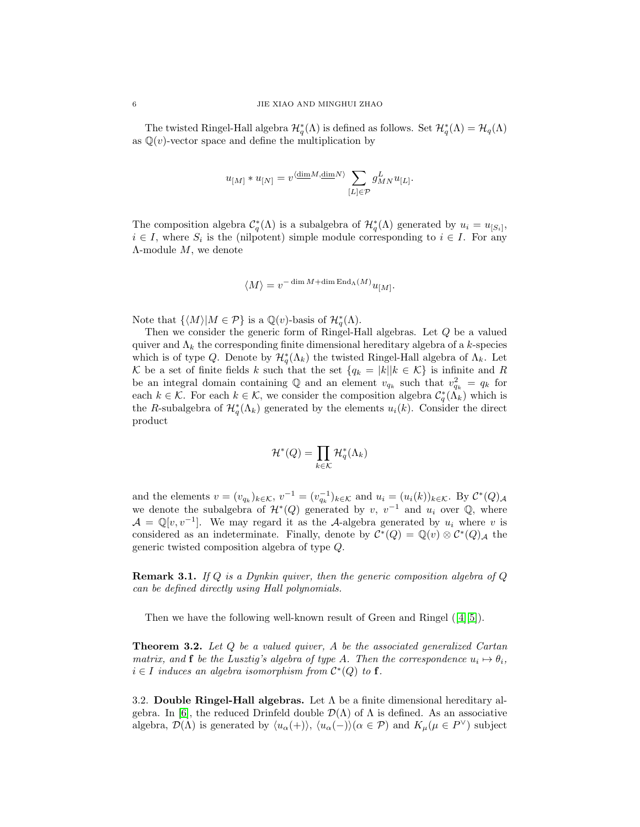The twisted Ringel-Hall algebra  $\mathcal{H}_q^*(\Lambda)$  is defined as follows. Set  $\mathcal{H}_q^*(\Lambda) = \mathcal{H}_q(\Lambda)$ as  $\mathbb{Q}(v)$ -vector space and define the multiplication by

$$
u_{[M]} * u_{[N]} = v^{\langle \underline{\dim} M, \underline{\dim} N \rangle} \sum_{[L] \in \mathcal{P}} g^L_{MN} u_{[L]}.
$$

The composition algebra  $C_q^*(\Lambda)$  is a subalgebra of  $\mathcal{H}_q^*(\Lambda)$  generated by  $u_i = u_{[S_i]}$ ,  $i \in I$ , where  $S_i$  is the (nilpotent) simple module corresponding to  $i \in I$ . For any  $\Lambda$ -module  $M$ , we denote

$$
\langle M\rangle = v^{-\dim M + \dim \operatorname{End}_\Lambda(M)} u_{[M]}.
$$

Note that  $\{ \langle M \rangle | M \in \mathcal{P} \}$  is a  $\mathbb{Q}(v)$ -basis of  $\mathcal{H}_q^*(\Lambda)$ .

Then we consider the generic form of Ringel-Hall algebras. Let Q be a valued quiver and  $\Lambda_k$  the corresponding finite dimensional hereditary algebra of a k-species which is of type Q. Denote by  $\mathcal{H}_q^*(\Lambda_k)$  the twisted Ringel-Hall algebra of  $\Lambda_k$ . Let K be a set of finite fields k such that the set  $\{q_k = |k||k \in \mathcal{K}\}\$ is infinite and R be an integral domain containing  $\mathbb Q$  and an element  $v_{q_k}$  such that  $v_{q_k}^2 = q_k$  for each  $k \in \mathcal{K}$ . For each  $k \in \mathcal{K}$ , we consider the composition algebra  $\mathcal{C}_q^*(\tilde{\Lambda}_k)$  which is the R-subalgebra of  $\mathcal{H}_q^*(\Lambda_k)$  generated by the elements  $u_i(k)$ . Consider the direct product

$$
\mathcal{H}^*(Q) = \prod_{k \in \mathcal{K}} \mathcal{H}_q^*(\Lambda_k)
$$

and the elements  $v = (v_{q_k})_{k \in \mathcal{K}}, v^{-1} = (v_{q_k}^{-1})_{k \in \mathcal{K}}$  and  $u_i = (u_i(k))_{k \in \mathcal{K}}$ . By  $\mathcal{C}^*(Q)_{\mathcal{A}}$ we denote the subalgebra of  $\mathcal{H}^*(Q)$  generated by v, v<sup>-1</sup> and u<sub>i</sub> over Q, where  $\mathcal{A} = \mathbb{Q}[v, v^{-1}]$ . We may regard it as the A-algebra generated by  $u_i$  where v is considered as an indeterminate. Finally, denote by  $\mathcal{C}^*(Q) = \mathbb{Q}(v) \otimes \mathcal{C}^*(Q)$  the generic twisted composition algebra of type Q.

**Remark 3.1.** If Q is a Dynkin quiver, then the generic composition algebra of  $Q$ can be defined directly using Hall polynomials.

Thenwe have the following well-known result of Green and Ringel  $([4][5])$  $([4][5])$  $([4][5])$  $([4][5])$ .

<span id="page-5-0"></span>**Theorem 3.2.** Let Q be a valued quiver, A be the associated generalized Cartan matrix, and **f** be the Lusztig's algebra of type A. Then the correspondence  $u_i \mapsto \theta_i$ ,  $i \in I$  induces an algebra isomorphism from  $\mathcal{C}^*(Q)$  to f.

3.2. Double Ringel-Hall algebras. Let  $\Lambda$  be a finite dimensional hereditary al-gebra. In [\[6\]](#page-23-5), the reduced Drinfeld double  $\mathcal{D}(\Lambda)$  of  $\Lambda$  is defined. As an associative algebra,  $\mathcal{D}(\Lambda)$  is generated by  $\langle u_{\alpha}(+) \rangle$ ,  $\langle u_{\alpha}(-) \rangle (\alpha \in \mathcal{P})$  and  $K_{\mu}(\mu \in P^{\vee})$  subject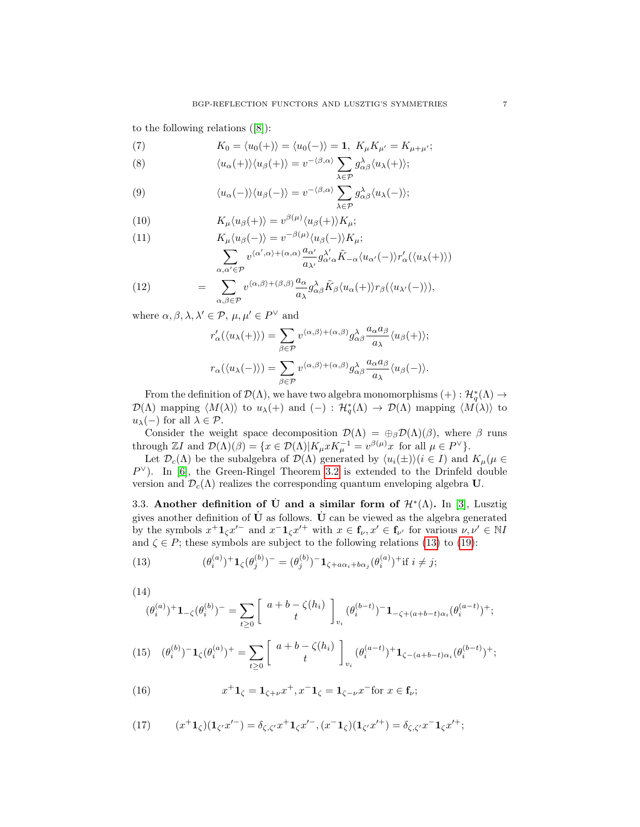to the following relations([\[8\]](#page-23-7)):

(7) 
$$
K_0 = \langle u_0(+) \rangle = \langle u_0(-) \rangle = \mathbf{1}, \ K_\mu K_{\mu'} = K_{\mu+\mu'};
$$

(8) 
$$
\langle u_{\alpha}(+) \rangle \langle u_{\beta}(+) \rangle = v^{-\langle \beta, \alpha \rangle} \sum_{\lambda \in \mathcal{P}} g_{\alpha \beta}^{\lambda} \langle u_{\lambda}(+) \rangle;
$$

(9) 
$$
\langle u_{\alpha}(-) \rangle \langle u_{\beta}(-) \rangle = v^{-\langle \beta, \alpha \rangle} \sum_{\lambda \in \mathcal{P}} g_{\alpha\beta}^{\lambda} \langle u_{\lambda}(-) \rangle;
$$

(10) 
$$
K_{\mu}\langle u_{\beta}(+) \rangle = v^{\beta(\mu)}\langle u_{\beta}(+) \rangle K_{\mu};
$$

(11) 
$$
K_{\mu}\langle u_{\beta}(-)\rangle = v^{-\beta(\mu)}\langle u_{\beta}(-)\rangle K_{\mu};
$$

$$
\sum_{\alpha,\alpha'\in\mathcal{P}} v^{\langle\alpha',\alpha\rangle + (\alpha,\alpha)} \frac{a_{\alpha'}}{a_{\lambda'}} g^{\lambda'}_{\alpha'\alpha} \tilde{K}_{-\alpha}\langle u_{\alpha'}(-)\rangle r'_{\alpha}(\langle u_{\lambda}(+)\rangle)
$$

(12) = 
$$
\sum_{\alpha,\beta\in\mathcal{P}} v^{\langle\alpha,\beta\rangle+(\beta,\beta)} \frac{a_{\alpha}}{a_{\lambda}} g^{\lambda}_{\alpha\beta} \tilde{K}_{\beta} \langle u_{\alpha}(+)\rangle r_{\beta} (\langle u_{\lambda'}(-)\rangle),
$$

where  $\alpha, \beta, \lambda, \lambda' \in \mathcal{P}, \mu, \mu' \in P^{\vee}$  and

<span id="page-6-0"></span>
$$
r'_{\alpha}(\langle u_{\lambda}(+)\rangle) = \sum_{\beta \in \mathcal{P}} v^{\langle \alpha,\beta\rangle + (\alpha,\beta)} g^{\lambda}_{\alpha\beta} \frac{a_{\alpha}a_{\beta}}{a_{\lambda}} \langle u_{\beta}(+)\rangle;
$$
  

$$
r_{\alpha}(\langle u_{\lambda}(-)\rangle) = \sum_{\beta \in \mathcal{P}} v^{\langle \alpha,\beta\rangle + (\alpha,\beta)} g^{\lambda}_{\alpha\beta} \frac{a_{\alpha}a_{\beta}}{a_{\lambda}} \langle u_{\beta}(-)\rangle.
$$

From the definition of  $\mathcal{D}(\Lambda)$ , we have two algebra monomorphisms  $(+) : \mathcal{H}_q^*(\Lambda) \to$  $\mathcal{D}(\Lambda)$  mapping  $\langle M(\lambda)\rangle$  to  $u_{\lambda}(+)$  and  $(-):$   $\mathcal{H}_q^*(\Lambda) \to \mathcal{D}(\Lambda)$  mapping  $\langle M(\lambda)\rangle$  to  $u_{\lambda}(-)$  for all  $\lambda \in \mathcal{P}$ .

Consider the weight space decomposition  $\mathcal{D}(\Lambda) = \bigoplus_{\beta} \mathcal{D}(\Lambda)(\beta)$ , where  $\beta$  runs through  $\mathbb{Z}I$  and  $\mathcal{D}(\Lambda)(\beta) = \{x \in \mathcal{D}(\Lambda)|K_{\mu}xK_{\mu}^{-1} = v^{\beta(\mu)}x$  for all  $\mu \in P^{\vee}\}.$ 

Let  $\mathcal{D}_c(\Lambda)$  be the subalgebra of  $\mathcal{D}(\Lambda)$  generated by  $\langle u_i(\pm) \rangle$  $(i \in I)$  and  $K_\mu(\mu \in$  $P^{\vee}$ ). In [\[6\]](#page-23-5), the Green-Ringel Theorem [3.2](#page-5-0) is extended to the Drinfeld double version and  $\mathcal{D}_c(\Lambda)$  realizes the corresponding quantum enveloping algebra U.

3.3. Another definition of U and a similar form of  $\mathcal{H}^*(\Lambda)$ . In [\[3\]](#page-23-2), Lusztig gives another definition of  $\dot{\mathbf{U}}$  as follows.  $\dot{\mathbf{U}}$  can be viewed as the algebra generated by the symbols  $x^+ \mathbf{1}_{\zeta} x'^-$  and  $x^- \mathbf{1}_{\zeta} x'^+$  with  $x \in \mathbf{f}_{\nu}, x' \in \mathbf{f}_{\nu'}$  for various  $\nu, \nu' \in \mathbb{N}I$ and  $\zeta \in P$ ; these symbols are subject to the following relations [\(13\)](#page-6-0) to [\(19\)](#page-7-0):

(13) 
$$
(\theta_i^{(a)})^+ \mathbf{1}_{\zeta} (\theta_j^{(b)})^- = (\theta_j^{(b)})^- \mathbf{1}_{\zeta + a\alpha_i + b\alpha_j} (\theta_i^{(a)})^+ \text{if } i \neq j;
$$

(14)

$$
(\theta_i^{(a)})^+ \mathbf{1}_{-\zeta} (\theta_i^{(b)})^- = \sum_{t \ge 0} \begin{bmatrix} a+b-\zeta(h_i) \\ t \end{bmatrix}_{v_i} (\theta_i^{(b-t)})^- \mathbf{1}_{-\zeta + (a+b-t)\alpha_i} (\theta_i^{(a-t)})^+;
$$

$$
(15) \quad (\theta_i^{(b)})^{-} \mathbf{1}_{\zeta}(\theta_i^{(a)})^{+} = \sum_{t \ge 0} \begin{bmatrix} a+b-\zeta(h_i) \\ t \end{bmatrix}_{v_i} (\theta_i^{(a-t)})^{+} \mathbf{1}_{\zeta - (a+b-t)\alpha_i}(\theta_i^{(b-t)})^{+};
$$

(16) 
$$
x^+ \mathbf{1}_{\zeta} = \mathbf{1}_{\zeta + \nu} x^+, x^- \mathbf{1}_{\zeta} = \mathbf{1}_{\zeta - \nu} x^- \text{for } x \in \mathbf{f}_{\nu};
$$

(17) 
$$
(x^+ \mathbf{1}_{\zeta})(\mathbf{1}_{\zeta'} x'^-) = \delta_{\zeta, \zeta'} x^+ \mathbf{1}_{\zeta} x'^-, (x^- \mathbf{1}_{\zeta})(\mathbf{1}_{\zeta'} x'^+) = \delta_{\zeta, \zeta'} x^- \mathbf{1}_{\zeta} x'^+;
$$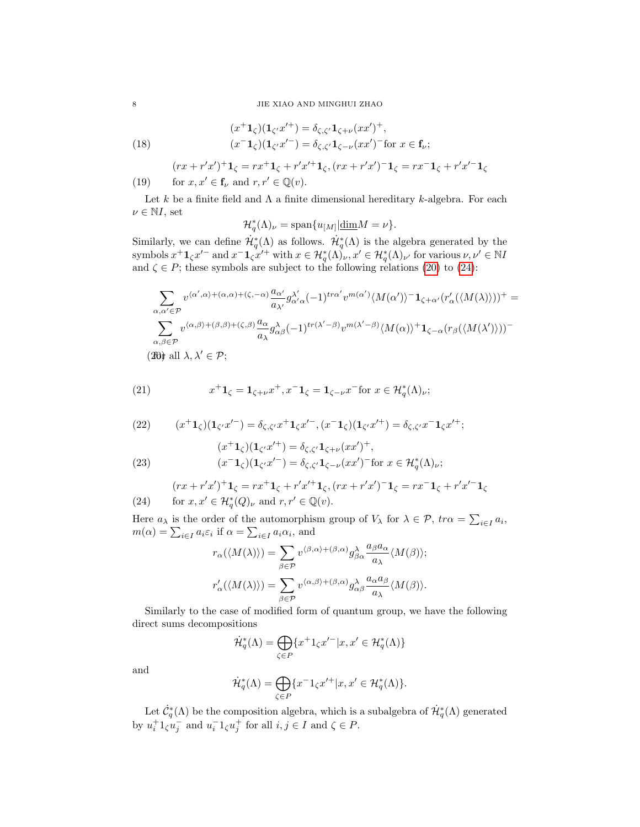(18) 
$$
(x^+ \mathbf{1}_{\zeta})(\mathbf{1}_{\zeta'} x'^+) = \delta_{\zeta, \zeta'} \mathbf{1}_{\zeta + \nu} (xx')^+, (x^- \mathbf{1}_{\zeta})(\mathbf{1}_{\zeta'} x'') = \delta_{\zeta, \zeta'} \mathbf{1}_{\zeta - \nu} (xx')^{-} \text{for } x \in \mathbf{f}_{\nu};
$$

<span id="page-7-0"></span>
$$
(rx + r'x')^{+}1_{\zeta} = rx^{+}1_{\zeta} + r'x'^{+}1_{\zeta}, (rx + r'x')^{-}1_{\zeta} = rx^{-}1_{\zeta} + r'x'^{-}1_{\zeta}
$$

(19) for 
$$
x, x' \in \mathbf{f}_{\nu}
$$
 and  $r, r' \in \mathbb{Q}(v)$ .

Let k be a finite field and  $\Lambda$  a finite dimensional hereditary k-algebra. For each  $\nu \in \mathbb{N}I$ , set

$$
\mathcal{H}_q^*(\Lambda)_\nu = \text{span}\{u_{[M]}|\underline{\dim}M = \nu\}.
$$

Similarly, we can define  $\mathcal{H}_q^*(\Lambda)$  as follows.  $\mathcal{H}_q^*(\Lambda)$  is the algebra generated by the symbols  $x^+ \mathbf{1}_{\zeta} x'^-$  and  $x^- \mathbf{1}_{\zeta} x'^+$  with  $x \in \mathcal{H}^*_{q}(\Lambda)_{\nu}, x' \in \mathcal{H}^*_{q}(\Lambda)_{\nu'}$  for various  $\nu, \nu' \in \mathbb{N}I$ and  $\zeta \in P$ ; these symbols are subject to the following relations [\(20\)](#page-7-1) to [\(24\)](#page-7-2):

<span id="page-7-1"></span>
$$
\sum_{\alpha,\alpha'\in\mathcal{P}} v^{\langle\alpha',\alpha\rangle+(\alpha,\alpha)+(\zeta,-\alpha)} \frac{a_{\alpha'}}{a_{\lambda'}} g^{\lambda'}_{\alpha'\alpha}(-1)^{tr\alpha'} v^{m(\alpha')} \langle M(\alpha')\rangle^{-1} \mathbf{1}_{\zeta+\alpha'} (r'_{\alpha}(\langle M(\lambda)\rangle))^{+} =
$$
  

$$
\sum_{\alpha,\beta\in\mathcal{P}} v^{\langle\alpha,\beta\rangle+(\beta,\beta)+(\zeta,\beta)} \frac{a_{\alpha}}{a_{\lambda}} g^{\lambda}_{\alpha\beta}(-1)^{tr(\lambda'-\beta)} v^{m(\lambda'-\beta)} \langle M(\alpha)\rangle^{+1} \mathbf{1}_{\zeta-\alpha} (r_{\beta}(\langle M(\lambda')\rangle))^{-}
$$
  
(30) all  $\lambda, \lambda' \in \mathcal{P}$ ;

(21) 
$$
x^+ \mathbf{1}_{\zeta} = \mathbf{1}_{\zeta + \nu} x^+, x^- \mathbf{1}_{\zeta} = \mathbf{1}_{\zeta - \nu} x^- \text{for } x \in \mathcal{H}_q^*(\Lambda)_{\nu};
$$

(22) 
$$
(x^+ \mathbf{1}_{\zeta})(\mathbf{1}_{\zeta'} x'^-) = \delta_{\zeta, \zeta'} x^+ \mathbf{1}_{\zeta} x'^-, (x^- \mathbf{1}_{\zeta})(\mathbf{1}_{\zeta'} x'^+) = \delta_{\zeta, \zeta'} x^- \mathbf{1}_{\zeta} x'^+;
$$

(23) 
$$
(x^{+}\mathbf{1}_{\zeta})(\mathbf{1}_{\zeta'}x'^{+}) = \delta_{\zeta,\zeta'}\mathbf{1}_{\zeta+\nu}(xx')^{+}, (x^{-}\mathbf{1}_{\zeta})(\mathbf{1}_{\zeta'}x'^{-}) = \delta_{\zeta,\zeta'}\mathbf{1}_{\zeta-\nu}(xx')^{-} \text{for } x \in \mathcal{H}_q^{*}(\Lambda)_{\nu};
$$

<span id="page-7-3"></span><span id="page-7-2"></span>
$$
(rx + r'x')^{+}1_{\zeta} = rx^{+}1_{\zeta} + r'x'^{+}1_{\zeta}, (rx + r'x')^{-}1_{\zeta} = rx^{-}1_{\zeta} + r'x'^{-}1_{\zeta}
$$
  
for  $x, x' \in \mathcal{H}_{a}^{*}(Q)_{\nu}$  and  $r, r' \in \mathbb{Q}(v)$ .

(24) for 
$$
x, x' \in \mathcal{H}_q^*(Q)_{\nu}
$$
 and  $r, r' \in \mathbb{Q}(v)$ .

Here  $a_{\lambda}$  is the order of the automorphism group of  $V_{\lambda}$  for  $\lambda \in \mathcal{P}$ ,  $tr\alpha = \sum_{i\in I} a_i$ ,  $m(\alpha) = \sum_{i \in I} a_i \varepsilon_i$  if  $\alpha = \sum_{i \in I} a_i \alpha_i$ , and

$$
r_{\alpha}(\langle M(\lambda) \rangle) = \sum_{\beta \in \mathcal{P}} v^{\langle \beta, \alpha \rangle + (\beta, \alpha)} g_{\beta \alpha}^{\lambda} \frac{a_{\beta} a_{\alpha}}{a_{\lambda}} \langle M(\beta) \rangle;
$$
  

$$
r_{\alpha}'(\langle M(\lambda) \rangle) = \sum_{\beta \in \mathcal{P}} v^{\langle \alpha, \beta \rangle + (\beta, \alpha)} g_{\alpha \beta}^{\lambda} \frac{a_{\alpha} a_{\beta}}{a_{\lambda}} \langle M(\beta) \rangle.
$$

Similarly to the case of modified form of quantum group, we have the following direct sums decompositions

$$
\dot{\mathcal{H}}_q^*(\Lambda) = \bigoplus_{\zeta \in P} \{ x^+ 1_\zeta x'^{-} | x, x' \in \mathcal{H}_q^*(\Lambda) \}
$$

and

$$
\dot{\mathcal{H}}_q^*(\Lambda)=\bigoplus_{\zeta\in P}\{x^-1_\zeta x'^+|x,x'\in\mathcal{H}_q^*(\Lambda)\}.
$$

Let  $\dot{\mathcal{C}}^*_{q}(\Lambda)$  be the composition algebra, which is a subalgebra of  $\dot{\mathcal{H}}^*_{q}(\Lambda)$  generated by  $u_i^+ 1_\zeta u_j^-$  and  $u_i^- 1_\zeta u_j^+$  for all  $i, j \in I$  and  $\zeta \in P$ .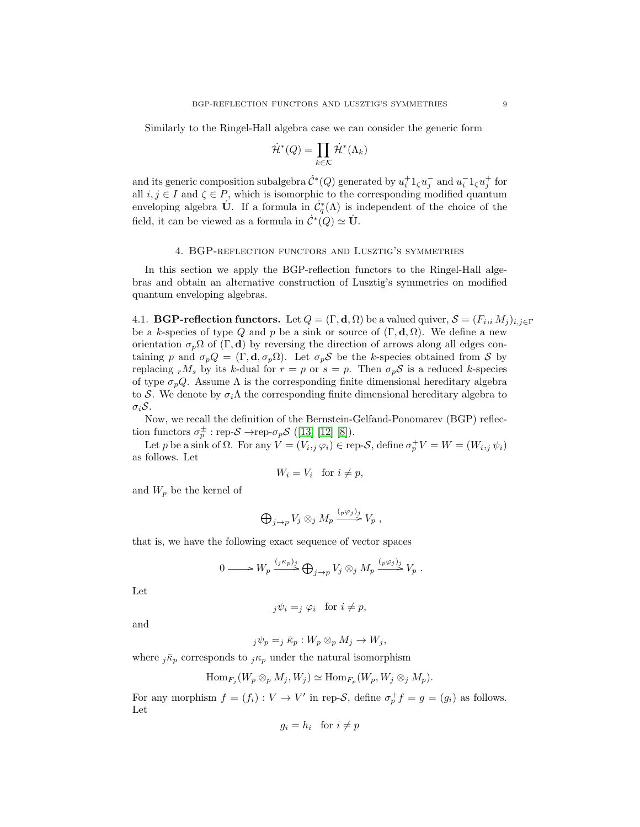Similarly to the Ringel-Hall algebra case we can consider the generic form

$$
\dot{\mathcal{H}}^*(Q) = \prod_{k \in \mathcal{K}} \dot{\mathcal{H}}^*(\Lambda_k)
$$

and its generic composition subalgebra  $\dot{C}^*(Q)$  generated by  $u_i^+1_\zeta u_j^-$  and  $u_i^-1_\zeta u_j^+$  for all  $i, j \in I$  and  $\zeta \in P$ , which is isomorphic to the corresponding modified quantum enveloping algebra U. If a formula in  $\dot{C}_q^*(\Lambda)$  is independent of the choice of the field, it can be viewed as a formula in  $\dot{\mathcal{C}}^*(Q) \simeq \dot{\mathbf{U}}$ .

#### 4. BGP-reflection functors and Lusztig's symmetries

In this section we apply the BGP-reflection functors to the Ringel-Hall algebras and obtain an alternative construction of Lusztig's symmetries on modified quantum enveloping algebras.

4.1. **BGP-reflection functors.** Let  $Q = (\Gamma, \mathbf{d}, \Omega)$  be a valued quiver,  $\mathcal{S} = (F_i, _iM_j)_{i,j\in \Gamma}$ be a k-species of type Q and p be a sink or source of  $(\Gamma, \mathbf{d}, \Omega)$ . We define a new orientation  $\sigma_p \Omega$  of  $(\Gamma, d)$  by reversing the direction of arrows along all edges containing p and  $\sigma_p Q = (\Gamma, \mathbf{d}, \sigma_p \Omega)$ . Let  $\sigma_p \mathcal{S}$  be the k-species obtained from S by replacing  $rM_s$  by its k-dual for  $r = p$  or  $s = p$ . Then  $\sigma_p S$  is a reduced k-species of type  $\sigma_p Q$ . Assume  $\Lambda$  is the corresponding finite dimensional hereditary algebra to S. We denote by  $\sigma_i \Lambda$  the corresponding finite dimensional hereditary algebra to  $\sigma_i$ S.

Now, we recall the definition of the Bernstein-Gelfand-Ponomarev (BGP) reflection functors  $\sigma_p^{\pm}$ : rep- $S \rightarrow$ rep- $\sigma_p S$  ([\[13\]](#page-23-12) [\[12\]](#page-23-11) [\[8\]](#page-23-7)).

Let p be a sink of  $\Omega$ . For any  $V = (V_{i,j} \varphi_i) \in \text{rep-}S$ , define  $\sigma_p^+ V = W = (W_{i,j} \psi_i)$ as follows. Let

$$
W_i = V_i \quad \text{for } i \neq p,
$$

and  $W_p$  be the kernel of

$$
\bigoplus_{j \to p} V_j \otimes_j M_p \xrightarrow{(p \varphi_j)_j} V_p ,
$$

that is, we have the following exact sequence of vector spaces

$$
0 \longrightarrow W_p \xrightarrow{(j\kappa_p)_j} \bigoplus_{j\to p} V_j \otimes_j M_p \xrightarrow{(p\varphi_j)_j} V_p .
$$

Let

$$
_j\psi_i = _j\varphi_i \quad \text{for } i \neq p,
$$

and

$$
_j\psi_p = _j\bar\kappa_p: W_p\otimes_p M_j\to W_j,
$$

where  $j\bar{\kappa}_p$  corresponds to  $j\kappa_p$  under the natural isomorphism

$$
\operatorname{Hom}_{F_j}(W_p \otimes_p M_j, W_j) \simeq \operatorname{Hom}_{F_p}(W_p, W_j \otimes_j M_p).
$$

For any morphism  $f = (f_i) : V \to V'$  in rep-S, define  $\sigma_p^+ f = g = (g_i)$  as follows. Let

$$
g_i = h_i \quad \text{for } i \neq p
$$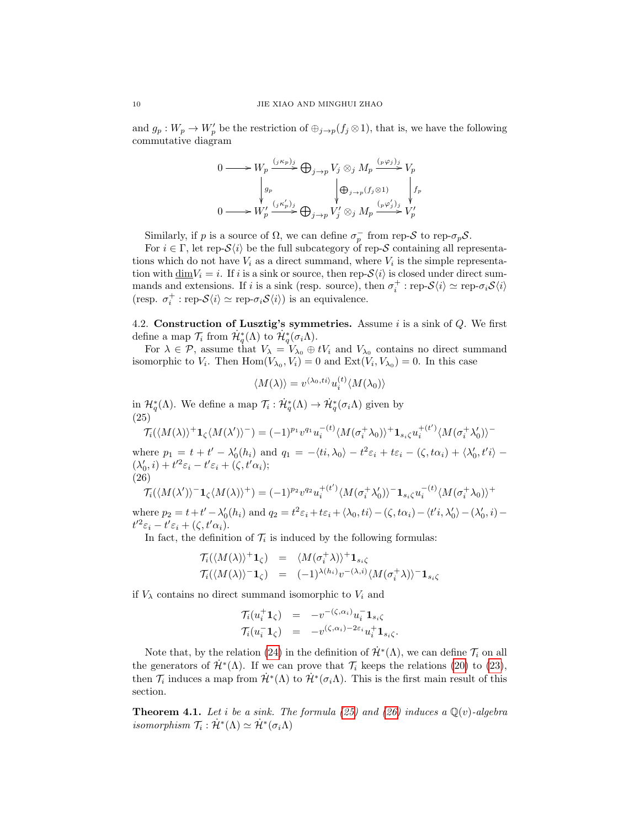and  $g_p: W_p \to W'_p$  be the restriction of  $\bigoplus_{j\to p} (f_j \otimes 1)$ , that is, we have the following commutative diagram

$$
\begin{aligned}\n0 \longrightarrow W_p &\xrightarrow{(j\kappa_p)_j} \bigoplus_{j\to p} V_j \otimes_j M_p \xrightarrow{(p\varphi_j)_j} V_p \\
\downarrow g_p &\qquad \qquad \downarrow g_p \\
0 \longrightarrow W'_p &\xrightarrow{(j\kappa'_p)_j} \bigoplus_{j\to p} V'_j \otimes_j M_p \xrightarrow{(p\varphi'_j)_j} V'_p\n\end{aligned}
$$

Similarly, if p is a source of  $\Omega$ , we can define  $\sigma_p^-$  from rep-S to rep- $\sigma_p$ S.

For  $i \in \Gamma$ , let rep- $\mathcal{S}\langle i \rangle$  be the full subcategory of rep-S containing all representations which do not have  $V_i$  as a direct summand, where  $V_i$  is the simple representation with  $\underline{\dim}V_i = i$ . If i is a sink or source, then rep- $\mathcal{S}\langle i \rangle$  is closed under direct summands and extensions. If *i* is a sink (resp. source), then  $\sigma_i^+$ : rep- $\mathcal{S}\langle i \rangle \simeq$  rep- $\sigma_i \mathcal{S}\langle i \rangle$ (resp.  $\sigma_i^+$ : rep- $\mathcal{S}\langle i \rangle \simeq$  rep- $\sigma_i \mathcal{S}\langle i \rangle$ ) is an equivalence.

4.2. Construction of Lusztig's symmetries. Assume  $i$  is a sink of  $Q$ . We first define a map  $\mathcal{T}_i$  from  $\mathcal{H}_q^*(\Lambda)$  to  $\mathcal{H}_q^*(\sigma_i \Lambda)$ .

For  $\lambda \in \mathcal{P}$ , assume that  $V_{\lambda} = V_{\lambda_0} \oplus tV_i$  and  $V_{\lambda_0}$  contains no direct summand isomorphic to  $V_i$ . Then  $\text{Hom}(V_{\lambda_0}, V_i) = 0$  and  $\text{Ext}(V_i, V_{\lambda_0}) = 0$ . In this case

<span id="page-9-1"></span><span id="page-9-0"></span>
$$
\langle M(\lambda)\rangle = v^{\langle \lambda_0, ti\rangle} u_i^{(t)} \langle M(\lambda_0)\rangle
$$

in  $\mathcal{H}_q^*(\Lambda)$ . We define a map  $\mathcal{T}_i : \mathcal{H}_q^*(\Lambda) \to \mathcal{H}_q^*(\sigma_i \Lambda)$  given by (25)

$$
\mathcal{T}_{i}(\langle M(\lambda)\rangle^{+}\mathbf{1}_{\zeta}\langle M(\lambda')\rangle^{-}) = (-1)^{p_{1}}v^{q_{1}}u_{i}^{-(t)}\langle M(\sigma_{i}^{+}\lambda_{0})\rangle^{+}\mathbf{1}_{s_{i}\zeta}u_{i}^{+(\prime')}\langle M(\sigma_{i}^{+}\lambda'_{0})\rangle^{-}
$$

where  $p_1 = t + t' - \lambda'_0(h_i)$  and  $q_1 = -\langle ti, \lambda_0 \rangle - t^2 \varepsilon_i + t \varepsilon_i - (\zeta, t\alpha_i) + \langle \lambda'_0, t' i \rangle (\lambda'_0, i) + t'^2 \varepsilon_i - t' \varepsilon_i + (\zeta, t' \alpha_i);$ (26)

$$
\mathcal{T}_i(\langle M(\lambda')\rangle^{-1} \mathbf{1}_{\zeta} \langle M(\lambda)\rangle^{+}) = (-1)^{p_2} v^{q_2} u_i^{+(t')} \langle M(\sigma_i^{+} \lambda_0')\rangle^{-1} \mathbf{1}_{s_i \zeta} u_i^{-(t)} \langle M(\sigma_i^{+} \lambda_0)\rangle^{+}
$$
  
where  $p_2 = t + t' - \lambda_2'(h_i)$  and  $q_2 = t^2 \varepsilon_i + t \varepsilon_i + \langle \lambda_0, ti \rangle - (\zeta_t t \alpha_i) - \langle t'i, \lambda_2' \rangle - (\lambda_2' , i)$ 

where  $p_2 = t + t' - \lambda'_0(h_i)$  and  $q_2 = t^2 \varepsilon_i + t \varepsilon_i + \langle \lambda_0, t i \rangle - (\zeta, t \alpha_i) - \langle t' i, \lambda'_0 \rangle - (\lambda'_0, i)$  $t'^2\varepsilon_i - t'\varepsilon_i + (\zeta, t'\alpha_i).$ 

In fact, the definition of  $\mathcal{T}_i$  is induced by the following formulas:

$$
\begin{array}{rcl}\n\mathcal{T}_i(\langle M(\lambda)\rangle^+ \mathbf{1}_{\zeta}) & = & \langle M(\sigma_i^+ \lambda)\rangle^+ \mathbf{1}_{s_i \zeta} \\
\mathcal{T}_i(\langle M(\lambda)\rangle^- \mathbf{1}_{\zeta}) & = & (-1)^{\lambda(h_i)} v^{-(\lambda, i)} \langle M(\sigma_i^+ \lambda)\rangle^- \mathbf{1}_{s_i \zeta}\n\end{array}
$$

if  $V_{\lambda}$  contains no direct summand isomorphic to  $V_i$  and

$$
\begin{array}{rcl}\n\mathcal{T}_i(u_i^+ \mathbf{1}_{\zeta}) &=& -v^{-(\zeta,\alpha_i)} u_i^- \mathbf{1}_{s_i \zeta} \\
\mathcal{T}_i(u_i^- \mathbf{1}_{\zeta}) &=& -v^{(\zeta,\alpha_i)-2\varepsilon_i} u_i^+ \mathbf{1}_{s_i \zeta}.\n\end{array}
$$

Note that, by the relation [\(24\)](#page-7-2) in the definition of  $\dot{\mathcal{H}}^*(\Lambda)$ , we can define  $\mathcal{T}_i$  on all the generators of  $\dot{\mathcal{H}}^*(\Lambda)$ . If we can prove that  $\mathcal{T}_i$  keeps the relations [\(20\)](#page-7-1) to [\(23\)](#page-7-3), then  $\mathcal{T}_i$  induces a map from  $\mathcal{H}^*(\Lambda)$  to  $\mathcal{H}^*(\sigma_i\Lambda)$ . This is the first main result of this section.

<span id="page-9-2"></span>**Theorem 4.1.** Let i be a sink. The formula [\(25\)](#page-9-0) and [\(26\)](#page-9-1) induces a  $\mathbb{Q}(v)$ -algebra isomorphism  $\mathcal{T}_i : \dot{\mathcal{H}}^*(\Lambda) \simeq \dot{\mathcal{H}}^*(\sigma_i \Lambda)$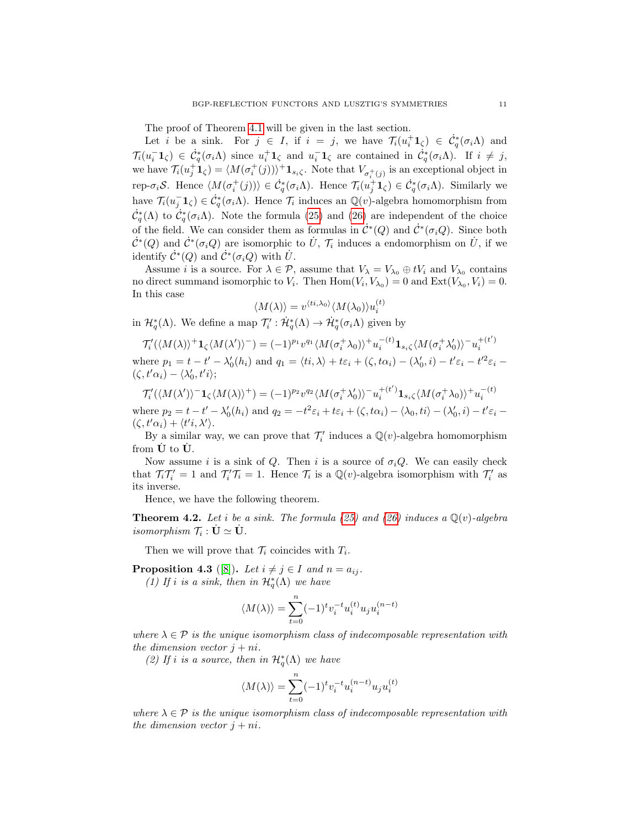The proof of Theorem [4.1](#page-9-2) will be given in the last section.

Let i be a sink. For  $j \in I$ , if  $i = j$ , we have  $\mathcal{T}_i(u_i^+ \mathbf{1}_{\zeta}) \in \dot{\mathcal{C}}_q^*(\sigma_i \Lambda)$  and  $\mathcal{T}_i(u_i^-\mathbf{1}_{\zeta}) \in \dot{\mathcal{C}}_q^*(\sigma_i \Lambda)$  since  $u_i^+\mathbf{1}_{\zeta}$  and  $u_i^-\mathbf{1}_{\zeta}$  are contained in  $\dot{\mathcal{C}}_q^*(\sigma_i \Lambda)$ . If  $i \neq j$ , we have  $\mathcal{T}_i(u_j^{\dagger}\mathbf{1}_{\zeta}) = \langle M(\sigma_i^+(j))\rangle^{\dagger}\mathbf{1}_{s_i\zeta}$ . Note that  $V_{\sigma_i^+(j)}$  is an exceptional object in rep- $\sigma_i \mathcal{S}$ . Hence  $\langle M(\sigma_i^+(j))\rangle \in \dot{\mathcal{C}}_q^*(\sigma_i \Lambda)$ . Hence  $\mathcal{T}_i(u_j^+\mathbf{1}_{\zeta}) \in \dot{\mathcal{C}}_q^*(\sigma_i \Lambda)$ . Similarly we have  $\mathcal{T}_i(u_j^- \mathbf{1}_{\zeta}) \in \dot{\mathcal{C}}_q^*(\sigma_i \Lambda)$ . Hence  $\mathcal{T}_i$  induces an  $\mathbb{Q}(v)$ -algebra homomorphism from  $\dot{\mathcal{C}}^*_q(\Lambda)$  to  $\dot{\mathcal{C}}^*_q(\sigma_i\Lambda)$ . Note the formula [\(25\)](#page-9-0) and [\(26\)](#page-9-1) are independent of the choice of the field. We can consider them as formulas in  $\mathcal{C}^*(Q)$  and  $\mathcal{C}^*(\sigma_i Q)$ . Since both  $\dot{\mathcal{C}}^*(Q)$  and  $\dot{\mathcal{C}}^*(\sigma_i Q)$  are isomorphic to  $\dot{U}$ ,  $\mathcal{T}_i$  induces a endomorphism on  $\dot{U}$ , if we identify  $\dot{\mathcal{C}}^*(Q)$  and  $\dot{\mathcal{C}}^*(\sigma_i Q)$  with  $\dot{U}$ .

Assume *i* is a source. For  $\lambda \in \mathcal{P}$ , assume that  $V_{\lambda} = V_{\lambda_0} \oplus tV_i$  and  $V_{\lambda_0}$  contains no direct summand isomorphic to  $V_i$ . Then  $\text{Hom}(V_i, V_{\lambda_0}) = 0$  and  $\text{Ext}(V_{\lambda_0}, V_i) = 0$ . In this case

$$
\langle M(\lambda)\rangle = v^{\langle ti,\lambda_0\rangle} \langle M(\lambda_0)\rangle u_i^{(t)}
$$

in  $\mathcal{H}_q^*(\Lambda)$ . We define a map  $\mathcal{T}'_i : \dot{\mathcal{H}}_q^*(\Lambda) \to \dot{\mathcal{H}}_q^*(\sigma_i \Lambda)$  given by

$$
\mathcal{T}'_i(\langle M(\lambda)\rangle^+ \mathbf{1}_{\zeta} \langle M(\lambda')\rangle^-) = (-1)^{p_1} v^{q_1} \langle M(\sigma_i^+ \lambda_0)\rangle^+ u_i^{-(t)} \mathbf{1}_{s_i\zeta} \langle M(\sigma_i^+ \lambda'_0)\rangle^- u_i^{+(t')}
$$
  
where  $p_1 = t - t' - \lambda'_0(h_i)$  and  $q_1 = \langle ti, \lambda \rangle + t\varepsilon_i + (\zeta, t\alpha_i) - (\lambda'_0, i) - t'\varepsilon_i - t'^2 \varepsilon_i - (\zeta, t'\alpha_i) - \langle \lambda'_0, t'\rangle;$ 

 $\mathcal{T}'_i( \langle M(\lambda')\rangle^{-1}\mathbf{1}_{\zeta}\langle M(\lambda)\rangle^{+} )= (-1)^{p_2}v^{q_2}\langle M(\sigma_i^+\lambda'_0)\rangle^{-} u_i^{+(t')} \mathbf{1}_{s_i\zeta}\langle M(\sigma_i^+\lambda_0)\rangle^{+} u_i^{-(t)}$ where  $p_2 = t - t' - \lambda'_0(h_i)$  and  $q_2 = -t^2 \varepsilon_i + t \varepsilon_i + (\zeta, t\alpha_i) - (\lambda_0, t i) - (\lambda'_0, i) - t' \varepsilon_i$  $(\zeta, t'\alpha_i) + \langle t'i, \lambda' \rangle.$ 

By a similar way, we can prove that  $\mathcal{T}'_i$  induces a  $\mathbb{Q}(v)$ -algebra homomorphism from  $\dot{\mathbf{U}}$  to  $\dot{\mathbf{U}}$ .

Now assume i is a sink of Q. Then i is a source of  $\sigma_i Q$ . We can easily check that  $\mathcal{T}_i \mathcal{T}'_i = 1$  and  $\mathcal{T}'_i \mathcal{T}_i = 1$ . Hence  $\mathcal{T}_i$  is a  $\mathbb{Q}(v)$ -algebra isomorphism with  $\mathcal{T}'_i$  as its inverse.

Hence, we have the following theorem.

**Theorem 4.2.** Let i be a sink. The formula [\(25\)](#page-9-0) and [\(26\)](#page-9-1) induces a  $\mathbb{Q}(v)$ -algebra isomorphism  $\mathcal{T}_i : \dot{\mathbf{U}} \simeq \dot{\mathbf{U}}$ .

Then we will prove that  $\mathcal{T}_i$  coincides with  $T_i$ .

<span id="page-10-0"></span>**Proposition 4.3** ([\[8\]](#page-23-7)). Let  $i \neq j \in I$  and  $n = a_{ij}$ . (1) If i is a sink, then in  $\mathcal{H}_q^*(\Lambda)$  we have

$$
\langle M(\lambda) \rangle = \sum_{t=0}^{n} (-1)^t v_i^{-t} u_i^{(t)} u_j u_i^{(n-t)}
$$

where  $\lambda \in \mathcal{P}$  is the unique isomorphism class of indecomposable representation with the dimension vector  $j + ni$ .

(2) If i is a source, then in  $\mathcal{H}_q^*(\Lambda)$  we have

$$
\langle M(\lambda) \rangle = \sum_{t=0}^{n} (-1)^t v_i^{-t} u_i^{(n-t)} u_j u_i^{(t)}
$$

where  $\lambda \in \mathcal{P}$  is the unique isomorphism class of indecomposable representation with the dimension vector  $i + ni$ .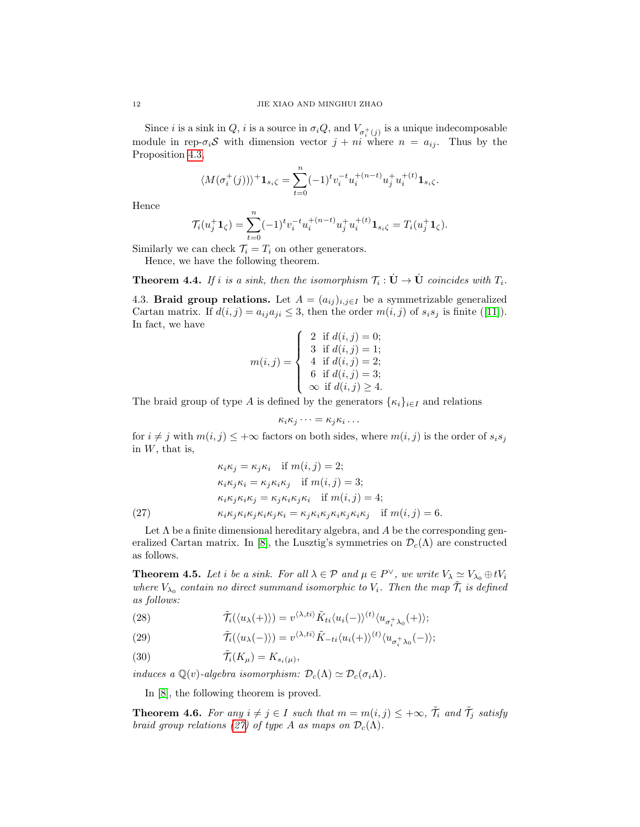Since *i* is a sink in Q, *i* is a source in  $\sigma_i Q$ , and  $V_{\sigma_i^+(j)}$  is a unique indecomposable module in rep- $\sigma_i$ S with dimension vector  $j + ni$  where  $n = a_{ij}$ . Thus by the Proposition [4.3,](#page-10-0)

$$
\langle M(\sigma_i^+(j))\rangle^+\mathbf{1}_{s_i\zeta}=\sum_{t=0}^n(-1)^tv_i^{-t}u_i^{+(n-t)}u_j^+u_i^{+(t)}\mathbf{1}_{s_i\zeta}.
$$

Hence

$$
\mathcal{T}_i(u_j^+\mathbf{1}_\zeta)=\sum_{t=0}^n(-1)^tv_i^{-t}u_i^{+(n-t)}u_j^+u_i^{+(t)}\mathbf{1}_{s_i\zeta}=T_i(u_j^+\mathbf{1}_\zeta).
$$

Similarly we can check  $\mathcal{T}_i = T_i$  on other generators.

Hence, we have the following theorem.

**Theorem 4.4.** If i is a sink, then the isomorphism  $\mathcal{T}_i : \dot{\mathbf{U}} \to \dot{\mathbf{U}}$  coincides with  $T_i$ .

<span id="page-11-2"></span>4.3. **Braid group relations.** Let  $A = (a_{ij})_{i,j \in I}$  be a symmetrizable generalized Cartanmatrix. If  $d(i, j) = a_{ij}a_{ji} \leq 3$ , then the order  $m(i, j)$  of  $s_i s_j$  is finite ([\[11\]](#page-23-10)). In fact, we have

$$
m(i,j) = \begin{cases} 2 & \text{if } d(i,j) = 0; \\ 3 & \text{if } d(i,j) = 1; \\ 4 & \text{if } d(i,j) = 2; \\ 6 & \text{if } d(i,j) = 3; \\ \infty & \text{if } d(i,j) \ge 4. \end{cases}
$$

The braid group of type A is defined by the generators  $\{\kappa_i\}_{i\in I}$  and relations

$$
\kappa_i \kappa_j \cdots = \kappa_j \kappa_i \cdots
$$

for  $i \neq j$  with  $m(i, j) \leq +\infty$  factors on both sides, where  $m(i, j)$  is the order of  $s_i s_j$ in  $W$ , that is,

<span id="page-11-0"></span>
$$
\kappa_i \kappa_j = \kappa_j \kappa_i \quad \text{if } m(i,j) = 2; \n\kappa_i \kappa_j \kappa_i = \kappa_j \kappa_i \kappa_j \quad \text{if } m(i,j) = 3; \n\kappa_i \kappa_j \kappa_i \kappa_j = \kappa_j \kappa_i \kappa_j \kappa_i \quad \text{if } m(i,j) = 4; \n(27) \qquad \kappa_i \kappa_j \kappa_i \kappa_j \kappa_i \kappa_j \kappa_i = \kappa_j \kappa_i \kappa_j \kappa_i \kappa_j \kappa_i \kappa_j \quad \text{if } m(i,j) = 6.
$$

Let  $\Lambda$  be a finite dimensional hereditary algebra, and A be the corresponding gen-eralized Cartan matrix. In [\[8\]](#page-23-7), the Lusztig's symmetries on  $\mathcal{D}_c(\Lambda)$  are constructed as follows.

**Theorem 4.5.** Let i be a sink. For all  $\lambda \in \mathcal{P}$  and  $\mu \in P^{\vee}$ , we write  $V_{\lambda} \simeq V_{\lambda_0} \oplus tV_i$ where  $V_{\lambda_0}$  contain no direct summand isomorphic to  $V_i$ . Then the map  $\tilde{\mathcal{T}}_i$  is defined as follows:

- (28)  $\tilde{\mathcal{T}}_i(\langle u_\lambda(+)\rangle) = v^{\langle \lambda, ti \rangle} \tilde{K}_{ti} \langle u_i(-)\rangle^{(t)} \langle u_{\sigma_i^+ \lambda_0}(+) \rangle;$
- (29)  $\tilde{\mathcal{T}}_i(\langle u_\lambda(-)\rangle) = v^{\langle \lambda, ti \rangle} \tilde{K}_{-ti} \langle u_i(+)\rangle^{(t)} \langle u_{\sigma_i^+ \lambda_0}(-)\rangle;$
- (30)  $\tilde{\mathcal{T}}_i(K_\mu) = K_{s_i(\mu)},$

induces a  $\mathbb{Q}(v)$ -algebra isomorphism:  $\mathcal{D}_c(\Lambda) \simeq \mathcal{D}_c(\sigma_i \Lambda)$ .

In [\[8\]](#page-23-7), the following theorem is proved.

<span id="page-11-1"></span>**Theorem 4.6.** For any  $i \neq j \in I$  such that  $m = m(i, j) \leq +\infty$ ,  $\tilde{\mathcal{T}}_i$  and  $\tilde{\mathcal{T}}_j$  satisfy braid group relations [\(27\)](#page-11-0) of type A as maps on  $\mathcal{D}_c(\Lambda)$ .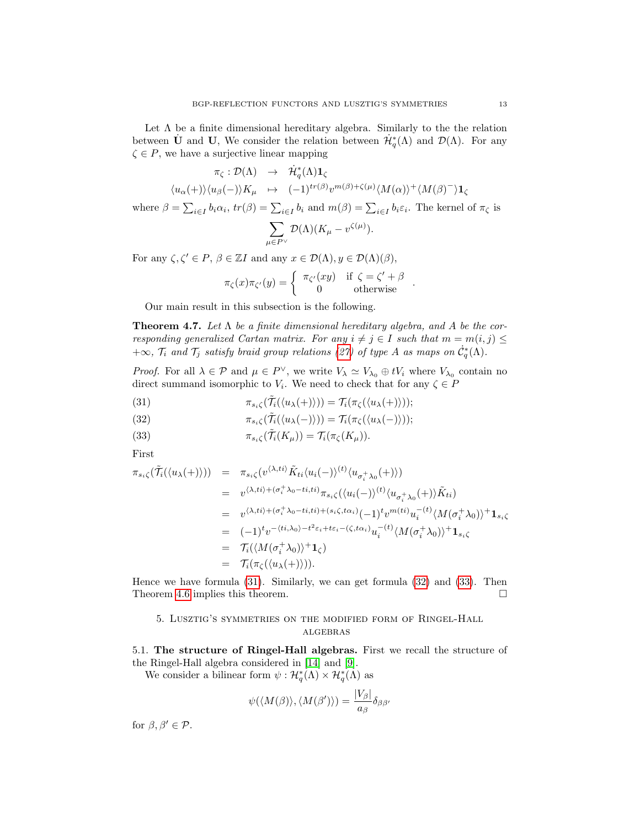Let  $\Lambda$  be a finite dimensional hereditary algebra. Similarly to the the relation between U and U, We consider the relation between  $\dot{\mathcal{H}}_q^*(\Lambda)$  and  $\mathcal{D}(\Lambda)$ . For any  $\zeta \in P$ , we have a surjective linear mapping

$$
\pi_{\zeta} : \mathcal{D}(\Lambda) \rightarrow \mathcal{H}_{q}^{*}(\Lambda) \mathbf{1}_{\zeta}
$$
\n
$$
\langle u_{\alpha}(+)\rangle \langle u_{\beta}(-)\rangle K_{\mu} \mapsto (-1)^{tr(\beta)} v^{m(\beta)+\zeta(\mu)} \langle M(\alpha)\rangle^{+} \langle M(\beta)^{-}\rangle \mathbf{1}_{\zeta}
$$
\nwhere  $\beta = \sum_{i\in I} b_{i} \alpha_{i}$ ,  $tr(\beta) = \sum_{i\in I} b_{i}$  and  $m(\beta) = \sum_{i\in I} b_{i}\varepsilon_{i}$ . The kernel of  $\pi_{\zeta}$  is\n
$$
\sum_{\mu \in P^{\vee}} \mathcal{D}(\Lambda) (K_{\mu} - v^{\zeta(\mu)}).
$$

For any  $\zeta, \zeta' \in P$ ,  $\beta \in \mathbb{Z}I$  and any  $x \in \mathcal{D}(\Lambda), y \in \mathcal{D}(\Lambda)(\beta)$ ,

$$
\pi_{\zeta}(x)\pi_{\zeta'}(y) = \begin{cases} \pi_{\zeta'}(xy) & \text{if } \zeta = \zeta' + \beta \\ 0 & \text{otherwise} \end{cases}.
$$

Our main result in this subsection is the following.

**Theorem 4.7.** Let  $\Lambda$  be a finite dimensional hereditary algebra, and  $A$  be the corresponding generalized Cartan matrix. For any  $i \neq j \in I$  such that  $m = m(i, j) \leq j$  $+\infty$ ,  $\mathcal{T}_i$  and  $\mathcal{T}_j$  satisfy braid group relations [\(27\)](#page-11-0) of type A as maps on  $\dot{C}_q^*(\Lambda)$ .

*Proof.* For all  $\lambda \in \mathcal{P}$  and  $\mu \in P^{\vee}$ , we write  $V_{\lambda} \simeq V_{\lambda_0} \oplus tV_i$  where  $V_{\lambda_0}$  contain no direct summand isomorphic to  $V_i$ . We need to check that for any  $\zeta \in P$ 

<span id="page-12-0"></span>(31) 
$$
\pi_{s_i\zeta}(\tilde{\mathcal{T}}_i(\langle u_\lambda(+)\rangle))=\mathcal{T}_i(\pi_{\zeta}(\langle u_\lambda(+)\rangle));
$$

(32) 
$$
\pi_{s_i\zeta}(\tilde{\mathcal{T}}_i(\langle u_\lambda(-)\rangle)) = \mathcal{T}_i(\pi_{\zeta}(\langle u_\lambda(-)\rangle));
$$

(33) 
$$
\pi_{s_i\zeta}(\mathcal{T}_i(K_\mu)) = \mathcal{T}_i(\pi_{\zeta}(K_\mu)).
$$

First

$$
\pi_{s_i\zeta}(\tilde{\mathcal{T}}_i(\langle u_\lambda(+)\rangle)) = \pi_{s_i\zeta}(v^{\langle \lambda, ti \rangle} \tilde{K}_{ti} \langle u_i(-)\rangle^{(t)} \langle u_{\sigma_i^+ \lambda_0}(+) \rangle)
$$
  
\n
$$
= v^{\langle \lambda, ti \rangle + (\sigma_i^+ \lambda_0 - ti, ti)} \pi_{s_i\zeta}(\langle u_i(-)\rangle^{(t)} \langle u_{\sigma_i^+ \lambda_0}(+) \rangle \tilde{K}_{ti})
$$
  
\n
$$
= v^{\langle \lambda, ti \rangle + (\sigma_i^+ \lambda_0 - ti, ti) + (s_i\zeta, t\alpha_i)(-1)} v^{m(ti)} u_i^{-(t)} \langle M(\sigma_i^+ \lambda_0) \rangle^+ \mathbf{1}_{s_i\zeta}
$$
  
\n
$$
= (-1)^t v^{-\langle ti, \lambda_0 \rangle - t^2 \varepsilon_i + t\varepsilon_i - (\zeta, t\alpha_i)} u_i^{-(t)} \langle M(\sigma_i^+ \lambda_0) \rangle^+ \mathbf{1}_{s_i\zeta}
$$
  
\n
$$
= \mathcal{T}_i(\langle M(\sigma_i^+ \lambda_0) \rangle^+ \mathbf{1}_{\zeta})
$$
  
\n
$$
= \mathcal{T}_i(\pi_{\zeta}(\langle u_\lambda(+)\rangle)).
$$

Hence we have formula [\(31\)](#page-12-0). Similarly, we can get formula [\(32\)](#page-12-0) and [\(33\)](#page-12-0). Then Theorem [4.6](#page-11-1) implies this theorem.

# 5. Lusztig's symmetries on the modified form of Ringel-Hall  ${\bf ALGEBRAS}$

<span id="page-12-1"></span>5.1. The structure of Ringel-Hall algebras. First we recall the structure of the Ringel-Hall algebra considered in [\[14\]](#page-23-13) and [\[9\]](#page-23-8).

We consider a bilinear form  $\psi : \mathcal{H}_q^*(\Lambda) \times \mathcal{H}_q^*(\Lambda)$  as

$$
\psi(\langle M(\beta)\rangle,\langle M(\beta')\rangle)=\frac{|V_{\beta}|}{a_{\beta}}\delta_{\beta\beta'}
$$

for  $\beta, \beta' \in \mathcal{P}$ .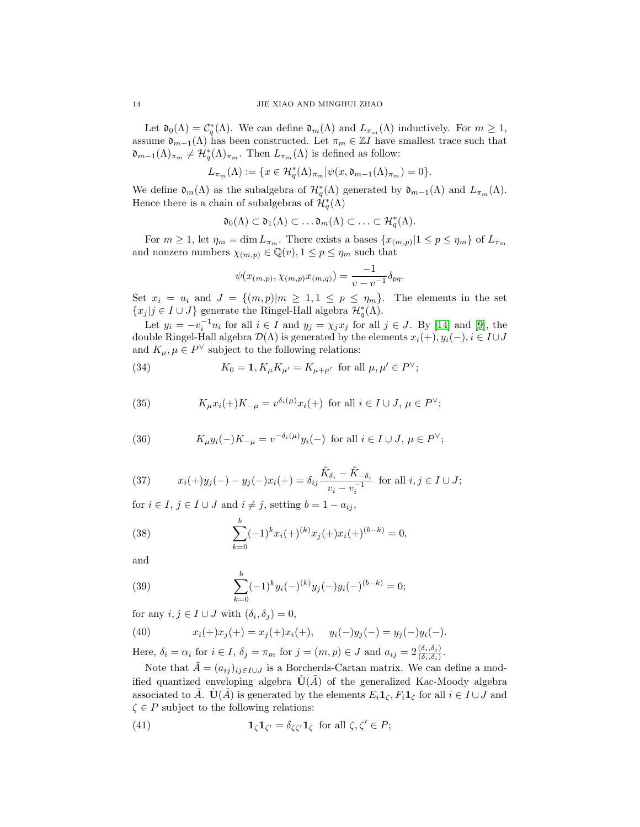Let  $\mathfrak{d}_0(\Lambda) = \mathcal{C}_q^*(\Lambda)$ . We can define  $\mathfrak{d}_m(\Lambda)$  and  $L_{\pi_m}(\Lambda)$  inductively. For  $m \geq 1$ , assume  $\mathfrak{d}_{m-1}(\Lambda)$  has been constructed. Let  $\pi_m \in \mathbb{Z}I$  have smallest trace such that  $\mathfrak{d}_{m-1}(\Lambda)_{\pi_m} \neq \mathcal{H}_q^*(\Lambda)_{\pi_m}$ . Then  $L_{\pi_m}(\Lambda)$  is defined as follow:

$$
L_{\pi_m}(\Lambda) := \{ x \in \mathcal{H}_q^*(\Lambda)_{\pi_m} | \psi(x, \mathfrak{d}_{m-1}(\Lambda)_{\pi_m}) = 0 \}.
$$

We define  $\mathfrak{d}_m(\Lambda)$  as the subalgebra of  $\mathcal{H}_q^*(\Lambda)$  generated by  $\mathfrak{d}_{m-1}(\Lambda)$  and  $L_{\pi_m}(\Lambda)$ . Hence there is a chain of subalgebras of  $\hat{\mathcal{H}}_q^*(\Lambda)$ 

$$
\mathfrak{d}_0(\Lambda) \subset \mathfrak{d}_1(\Lambda) \subset \ldots \mathfrak{d}_m(\Lambda) \subset \ldots \subset \mathcal{H}_q^*(\Lambda).
$$

For  $m \geq 1$ , let  $\eta_m = \dim L_{\pi_m}$ . There exists a bases  $\{x_{(m,p)}|1 \leq p \leq \eta_m\}$  of  $L_{\pi_m}$ and nonzero numbers  $\chi_{(m,p)} \in \mathbb{Q}(v), 1 \leq p \leq \eta_m$  such that

$$
\psi(x_{(m,p)}, \chi_{(m,p)}x_{(m,q)}) = \frac{-1}{v - v^{-1}} \delta_{pq}.
$$

Set  $x_i = u_i$  and  $J = \{(m, p)|m \geq 1, 1 \leq p \leq \eta_m\}$ . The elements in the set  ${x_j | j \in I \cup J}$  generate the Ringel-Hall algebra  $\mathcal{H}_q^*(\Lambda)$ .

Let  $y_i = -v_i^{-1}u_i$  for all  $i \in I$  and  $y_j = \chi_j x_j$  for all  $j \in J$ . By [\[14\]](#page-23-13) and [\[9\]](#page-23-8), the double Ringel-Hall algebra  $\mathcal{D}(\Lambda)$  is generated by the elements  $x_i(+), y_i(-), i \in I \cup J$ and  $K_{\mu}, \mu \in P^{\vee}$  subject to the following relations:

(34) 
$$
K_0 = \mathbf{1}, K_{\mu} K_{\mu'} = K_{\mu + \mu'}
$$
 for all  $\mu, \mu' \in P^{\vee};$ 

(35) 
$$
K_{\mu}x_i(+)K_{-\mu} = v^{\delta_i(\mu)}x_i(+) \text{ for all } i \in I \cup J, \mu \in P^{\vee};
$$

(36) 
$$
K_{\mu}y_i(-)K_{-\mu} = v^{-\delta_i(\mu)}y_i(-) \text{ for all } i \in I \cup J, \mu \in P^{\vee};
$$

(37) 
$$
x_i(+)y_j(-) - y_j(-)x_i(+) = \delta_{ij} \frac{\tilde{K}_{\delta_i} - \tilde{K}_{-\delta_i}}{v_i - v_i^{-1}} \text{ for all } i, j \in I \cup J;
$$

for  $i \in I$ ,  $j \in I \cup J$  and  $i \neq j$ , setting  $b = 1 - a_{ij}$ ,

(38) 
$$
\sum_{k=0}^{b} (-1)^k x_i(+)^{(k)} x_j(+) x_i(+)^{(b-k)} = 0,
$$

and

(39) 
$$
\sum_{k=0}^{b} (-1)^{k} y_{i}(-)^{(k)} y_{j}(-) y_{i}(-)^{(b-k)} = 0;
$$

for any  $i, j \in I \cup J$  with  $(\delta_i, \delta_j) = 0$ ,

(40) 
$$
x_i(+)x_j(+) = x_j(+)x_i(+), \quad y_i(-)y_j(-) = y_j(-)y_i(-).
$$

Here,  $\delta_i = \alpha_i$  for  $i \in I$ ,  $\delta_j = \pi_m$  for  $j = (m, p) \in J$  and  $a_{ij} = 2 \frac{(\delta_i, \delta_j)}{(\delta_i, \delta_i)}$ .

Note that  $\tilde{A} = (a_{ij})_{ij \in I \cup J}$  is a Borcherds-Cartan matrix. We can define a modified quantized enveloping algebra  $\dot{\mathbf{U}}(\tilde{A})$  of the generalized Kac-Moody algebra associated to  $\tilde{A}$ .  $\dot{\mathbf{U}}(\tilde{A})$  is generated by the elements  $E_i \mathbf{1}_{\zeta}, F_i \mathbf{1}_{\zeta}$  for all  $i \in I \cup J$  and  $\zeta \in P$  subject to the following relations:

<span id="page-13-0"></span>(41) 
$$
\mathbf{1}_{\zeta}\mathbf{1}_{\zeta'}=\delta_{\zeta\zeta'}\mathbf{1}_{\zeta} \text{ for all } \zeta,\zeta'\in P;
$$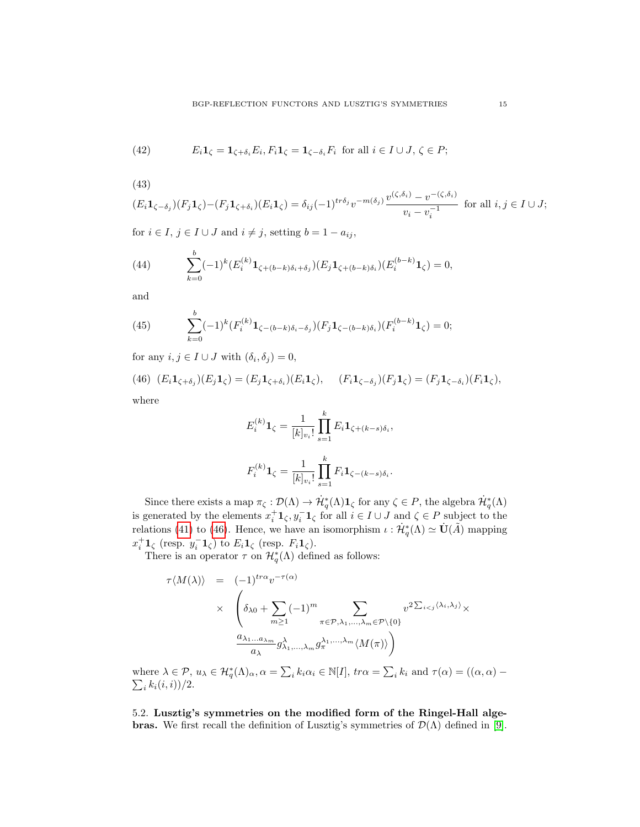(42) 
$$
E_i \mathbf{1}_{\zeta} = \mathbf{1}_{\zeta + \delta_i} E_i, F_i \mathbf{1}_{\zeta} = \mathbf{1}_{\zeta - \delta_i} F_i \text{ for all } i \in I \cup J, \zeta \in P;
$$

(43)

$$
(E_i \mathbf{1}_{\zeta - \delta_j})(F_j \mathbf{1}_{\zeta}) - (F_j \mathbf{1}_{\zeta + \delta_i})(E_i \mathbf{1}_{\zeta}) = \delta_{ij}(-1)^{tr\delta_j} v^{-m(\delta_j)} \frac{v^{(\zeta, \delta_i)} - v^{-(\zeta, \delta_i)}}{v_i - v_i^{-1}} \text{ for all } i, j \in I \cup J;
$$

for  $i \in I$ ,  $j \in I \cup J$  and  $i \neq j$ , setting  $b = 1 - a_{ij}$ ,

(44) 
$$
\sum_{k=0}^{b} (-1)^{k} (E_i^{(k)} \mathbf{1}_{\zeta + (b-k)\delta_i + \delta_j}) (E_j \mathbf{1}_{\zeta + (b-k)\delta_i}) (E_i^{(b-k)} \mathbf{1}_{\zeta}) = 0,
$$

and

(45) 
$$
\sum_{k=0}^{b} (-1)^{k} (F_i^{(k)} \mathbf{1}_{\zeta - (b-k)\delta_i - \delta_j}) (F_j \mathbf{1}_{\zeta - (b-k)\delta_i}) (F_i^{(b-k)} \mathbf{1}_{\zeta}) = 0;
$$

for any  $i, j \in I \cup J$  with  $(\delta_i, \delta_j) = 0$ ,

(46) 
$$
(E_i \mathbf{1}_{\zeta + \delta_j})(E_j \mathbf{1}_{\zeta}) = (E_j \mathbf{1}_{\zeta + \delta_i})(E_i \mathbf{1}_{\zeta}), \quad (F_i \mathbf{1}_{\zeta - \delta_j})(F_j \mathbf{1}_{\zeta}) = (F_j \mathbf{1}_{\zeta - \delta_i})(F_i \mathbf{1}_{\zeta}),
$$
where

where

<span id="page-14-0"></span>
$$
E_i^{(k)} \mathbf{1}_{\zeta} = \frac{1}{[k]_{v_i}!} \prod_{s=1}^k E_i \mathbf{1}_{\zeta + (k-s)\delta_i},
$$
  

$$
F_i^{(k)} \mathbf{1}_{\zeta} = \frac{1}{[k]_{v_i}!} \prod_{s=1}^k F_i \mathbf{1}_{\zeta - (k-s)\delta_i}.
$$

Since there exists a map  $\pi_{\zeta}: \mathcal{D}(\Lambda) \to \mathcal{H}^*_{q}(\Lambda) \mathbf{1}_{\zeta}$  for any  $\zeta \in P$ , the algebra  $\mathcal{H}^*_{q}(\Lambda)$ is generated by the elements  $x_i^+ \mathbf{1}_{\zeta}, y_i^- \mathbf{1}_{\zeta}$  for all  $i \in I \cup J$  and  $\zeta \in P$  subject to the relations [\(41\)](#page-13-0) to [\(46\)](#page-14-0). Hence, we have an isomorphism  $\iota : \dot{\mathcal{H}}_q^*(\Lambda) \simeq \dot{\mathbf{U}}(\tilde{A})$  mapping  $x_i^+ \mathbf{1}_{\zeta}$  (resp.  $y_i^- \mathbf{1}_{\zeta}$ ) to  $E_i \mathbf{1}_{\zeta}$  (resp.  $F_i \mathbf{1}_{\zeta}$ ).

There is an operator  $\tau$  on  $\mathcal{H}_q^*(\Lambda)$  defined as follows:

$$
\tau \langle M(\lambda) \rangle = (-1)^{tr\alpha} v^{-\tau(\alpha)}
$$
\n
$$
\times \left( \delta_{\lambda 0} + \sum_{m \ge 1} (-1)^m \sum_{\pi \in \mathcal{P}, \lambda_1, \dots, \lambda_m \in \mathcal{P} \setminus \{0\}} v^{2 \sum_{i < j} \langle \lambda_i, \lambda_j \rangle} \times \frac{a_{\lambda_1 \dots a_{\lambda_m}} g_{\lambda_1, \dots, \lambda_m}^{\lambda_1 \dots \lambda_m} \langle M(\pi) \rangle}{a_{\lambda}} \right)
$$

where  $\lambda \in \mathcal{P}$ ,  $u_{\lambda} \in \mathcal{H}_q^*(\Lambda)_{\alpha}$ ,  $\alpha = \sum_i k_i \alpha_i \in \mathbb{N}[I]$ ,  $tr\alpha = \sum_i k_i(i, i)/2$ .  $k_i$  and  $\tau(\alpha) = ((\alpha, \alpha) \sum_{i} k_i(i, i) / 2.$ 

5.2. Lusztig's symmetries on the modified form of the Ringel-Hall alge**bras.** We first recall the definition of Lusztig's symmetries of  $\mathcal{D}(\Lambda)$  defined in [\[9\]](#page-23-8).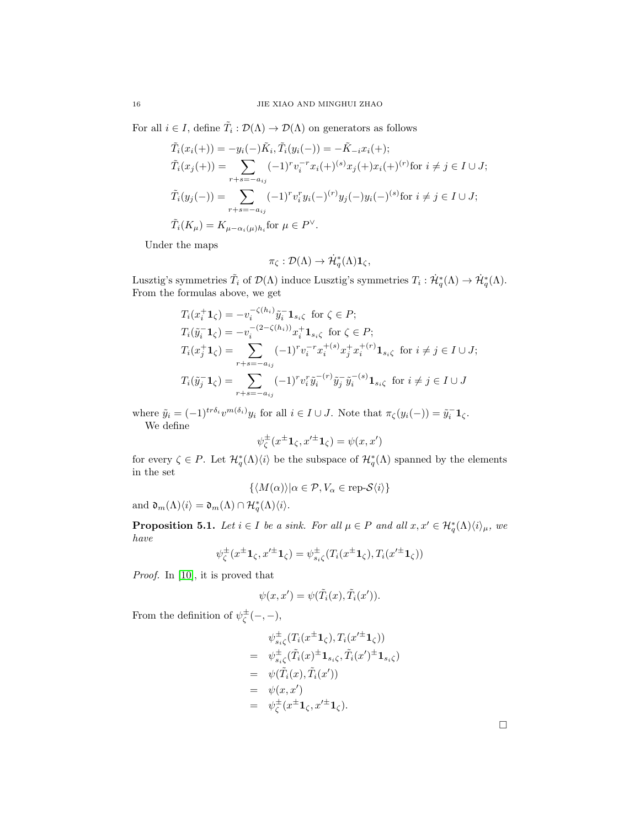For all  $i \in I$ , define  $\tilde{T}_i : \mathcal{D}(\Lambda) \to \mathcal{D}(\Lambda)$  on generators as follows

$$
\tilde{T}_i(x_i(+)) = -y_i(-)\tilde{K}_i, \tilde{T}_i(y_i(-)) = -\tilde{K}_{-i}x_i(+);
$$
\n
$$
\tilde{T}_i(x_j(+)) = \sum_{r+s=-a_{ij}} (-1)^r v_i^{-r} x_i(+)^{(s)} x_j(+) x_i(+)^{(r)} \text{for } i \neq j \in I \cup J;
$$
\n
$$
\tilde{T}_i(y_j(-)) = \sum_{r+s=-a_{ij}} (-1)^r v_i^r y_i(-)^{(r)} y_j(-) y_i(-)^{(s)} \text{for } i \neq j \in I \cup J;
$$
\n
$$
\tilde{T}_i(K_\mu) = K_{\mu-\alpha_i(\mu)h_i} \text{for } \mu \in P^\vee.
$$

Under the maps

$$
\pi_{\zeta}:\mathcal{D}(\Lambda)\to \dot{\mathcal{H}}_q^*(\Lambda)\mathbf{1}_{\zeta},
$$

Lusztig's symmetries  $\tilde{T}_i$  of  $\mathcal{D}(\Lambda)$  induce Lusztig's symmetries  $T_i: \dot{\mathcal{H}}_q^*(\Lambda) \to \dot{\mathcal{H}}_q^*(\Lambda)$ . From the formulas above, we get

$$
T_i(x_i^+ \mathbf{1}_{\zeta}) = -v_i^{-\zeta(h_i)} \tilde{y}_i^- \mathbf{1}_{s_i \zeta} \text{ for } \zeta \in P; T_i(\tilde{y}_i^- \mathbf{1}_{\zeta}) = -v_i^{-(2-\zeta(h_i))} x_i^+ \mathbf{1}_{s_i \zeta} \text{ for } \zeta \in P; T_i(x_j^+ \mathbf{1}_{\zeta}) = \sum_{r+s=-a_{ij}} (-1)^r v_i^{-r} x_i^{+(s)} x_j^+ x_i^{+(r)} \mathbf{1}_{s_i \zeta} \text{ for } i \neq j \in I \cup J; T_i(\tilde{y}_j^- \mathbf{1}_{\zeta}) = \sum_{r+s=-a_{ij}} (-1)^r v_i^r \tilde{y}_i^{-(r)} \tilde{y}_j^- \tilde{y}_i^{-(s)} \mathbf{1}_{s_i \zeta} \text{ for } i \neq j \in I \cup J
$$

where  $\tilde{y}_i = (-1)^{tr \delta_i} v^{m(\delta_i)} y_i$  for all  $i \in I \cup J$ . Note that  $\pi_{\zeta}(y_i(-)) = \tilde{y}_i^{-1} \mathbf{1}_{\zeta}$ . We define

$$
\psi^\pm_\zeta(x^\pm{\bf 1}_\zeta,x'^\pm{\bf 1}_\zeta)=\psi(x,x')
$$

for every  $\zeta \in P$ . Let  $\mathcal{H}_q^*(\Lambda)\langle i\rangle$  be the subspace of  $\mathcal{H}_q^*(\Lambda)$  spanned by the elements in the set

$$
\{ \langle M(\alpha) \rangle | \alpha \in \mathcal{P}, V_{\alpha} \in \text{rep-}S\langle i \rangle \}
$$

and  $\mathfrak{d}_m(\Lambda)\langle i \rangle = \mathfrak{d}_m(\Lambda) \cap \mathcal{H}_q^*(\Lambda)\langle i \rangle.$ 

<span id="page-15-0"></span>**Proposition 5.1.** Let  $i \in I$  be a sink. For all  $\mu \in P$  and all  $x, x' \in \mathcal{H}_q^*(\Lambda)\langle i \rangle_{\mu}$ , we have

$$
\psi_{\zeta}^{\pm}(x^{\pm}\mathbf{1}_{\zeta},x'^{\pm}\mathbf{1}_{\zeta})=\psi_{s_{i}\zeta}^{\pm}(T_{i}(x^{\pm}\mathbf{1}_{\zeta}),T_{i}(x'^{\pm}\mathbf{1}_{\zeta}))
$$

Proof. In [\[10\]](#page-23-9), it is proved that

$$
\psi(x, x') = \psi(\tilde{T}_i(x), \tilde{T}_i(x')).
$$

From the definition of  $\psi_{\zeta}^{\pm}(-,-)$ ,

$$
\psi_{s_i\zeta}^{\pm}(T_i(x^{\pm}\mathbf{1}_{\zeta}), T_i(x'^{\pm}\mathbf{1}_{\zeta}))
$$
\n
$$
= \psi_{s_i\zeta}^{\pm}(\tilde{T}_i(x)^{\pm}\mathbf{1}_{s_i\zeta}, \tilde{T}_i(x')^{\pm}\mathbf{1}_{s_i\zeta})
$$
\n
$$
= \psi(\tilde{T}_i(x), \tilde{T}_i(x'))
$$
\n
$$
= \psi(x, x')
$$
\n
$$
= \psi_{\zeta}^{\pm}(x^{\pm}\mathbf{1}_{\zeta}, x'^{\pm}\mathbf{1}_{\zeta}).
$$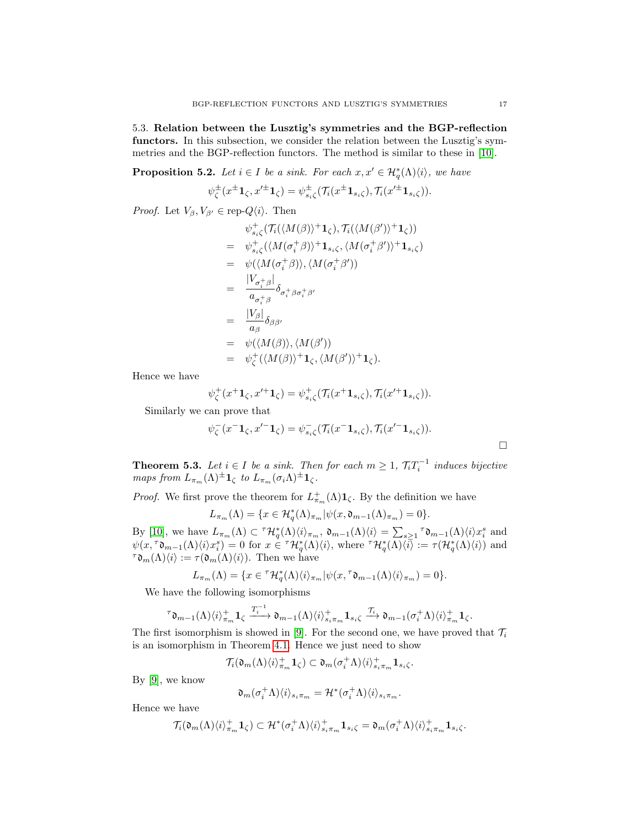5.3. Relation between the Lusztig's symmetries and the BGP-reflection functors. In this subsection, we consider the relation between the Lusztig's symmetries and the BGP-reflection functors. The method is similar to these in [\[10\]](#page-23-9).

<span id="page-16-0"></span>**Proposition 5.2.** Let  $i \in I$  be a sink. For each  $x, x' \in \mathcal{H}_q^*(\Lambda)\langle i \rangle$ , we have

$$
\psi_{\zeta}^{\pm}(x^{\pm}\mathbf{1}_{\zeta},x'^{\pm}\mathbf{1}_{\zeta})=\psi_{s_{i}\zeta}^{\pm}(\mathcal{T}_{i}(x^{\pm}\mathbf{1}_{s_{i}\zeta}),\mathcal{T}_{i}(x'^{\pm}\mathbf{1}_{s_{i}\zeta})).
$$

*Proof.* Let  $V_{\beta}, V_{\beta'} \in \text{rep-}Q_i\langle i \rangle$ . Then

$$
\psi_{s_i\zeta}^+(\mathcal{T}_i(\langle M(\beta)\rangle^+\mathbf{1}_{\zeta}),\mathcal{T}_i(\langle M(\beta')\rangle^+\mathbf{1}_{\zeta}))
$$
\n
$$
= \psi_{s_i\zeta}^+(\langle M(\sigma_i^+\beta)\rangle^+\mathbf{1}_{s_i\zeta},\langle M(\sigma_i^+\beta')\rangle^+\mathbf{1}_{s_i\zeta})
$$
\n
$$
= \psi(\langle M(\sigma_i^+\beta)\rangle,\langle M(\sigma_i^+\beta')\rangle)
$$
\n
$$
= \frac{|V_{\sigma_i^+\beta}|}{a_{\sigma_i^+\beta}}\delta_{\sigma_i^+\beta\sigma_i^+\beta'}
$$
\n
$$
= \frac{|V_{\beta}|}{a_{\beta}}\delta_{\beta\beta'}
$$
\n
$$
= \psi(\langle M(\beta)\rangle,\langle M(\beta')\rangle)
$$
\n
$$
= \psi_{\zeta}^+(\langle M(\beta)\rangle^+\mathbf{1}_{\zeta},\langle M(\beta')\rangle^+\mathbf{1}_{\zeta}).
$$

Hence we have

$$
\psi_{\zeta}^+(x^+ \mathbf{1}_{\zeta}, x'^+ \mathbf{1}_{\zeta}) = \psi_{s_i \zeta}^+(\mathcal{T}_i(x^+ \mathbf{1}_{s_i \zeta}), \mathcal{T}_i(x'^+ \mathbf{1}_{s_i \zeta})).
$$

Similarly we can prove that

$$
\psi_{\zeta}^-(x^{-}\mathbf{1}_{\zeta}, x'^{-}\mathbf{1}_{\zeta}) = \psi_{s_i\zeta}^-(\mathcal{T}_i(x^{-}\mathbf{1}_{s_i\zeta}), \mathcal{T}_i(x'^{-}\mathbf{1}_{s_i\zeta})).
$$

**Theorem 5.3.** Let  $i \in I$  be a sink. Then for each  $m \geq 1$ ,  $\mathcal{T}_i T_i^{-1}$  induces bijective maps from  $L_{\pi_m}(\Lambda)^{\pm} \mathbf{1}_{\zeta}$  to  $L_{\pi_m}(\sigma_i \Lambda)^{\pm} \mathbf{1}_{\zeta}$ .

*Proof.* We first prove the theorem for  $L^+_{\pi_m}(\Lambda) \mathbf{1}_{\zeta}$ . By the definition we have

 $L_{\pi_m}(\Lambda) = \{x \in \mathcal{H}_q^*(\Lambda)_{\pi_m} | \psi(x, \mathfrak{d}_{m-1}(\Lambda)_{\pi_m}) = 0\}.$ 

By [\[10\]](#page-23-9), we have  $L_{\pi_m}(\Lambda) \subset {}^{\tau} \mathcal{H}^*_{q}(\Lambda)\langle i \rangle_{\pi_m}$ ,  $\mathfrak{d}_{m-1}(\Lambda)\langle i \rangle = \sum_{s \geq 1} {}^{\tau} \mathfrak{d}_{m-1}(\Lambda)\langle i \rangle x_i^s$  and  $\psi(x, \tau \mathfrak{d}_{m-1}(\Lambda)\langle i \rangle x_i^s) = 0$  for  $x \in \tau \mathcal{H}_q^*(\Lambda)\langle i \rangle$ , where  $\tau \mathcal{H}_q^*(\Lambda)\langle i \rangle := \tau(\mathcal{H}_q^*(\Lambda)\langle i \rangle)$  and  $\tau \mathfrak{d}_m(\Lambda)\langle i \rangle := \tau(\mathfrak{d}_m(\Lambda)\langle i \rangle)$ . Then we have

$$
L_{\pi_m}(\Lambda) = \{ x \in {}^{\tau} \mathcal{H}_q^*(\Lambda) \langle i \rangle_{\pi_m} | \psi(x, {}^{\tau} \mathfrak{d}_{m-1}(\Lambda) \langle i \rangle_{\pi_m}) = 0 \}.
$$

We have the following isomorphisms

$$
\tau_{\mathfrak{d}_{m-1}}(\Lambda)\langle i \rangle_{\pi_m}^+ \mathbf{1}_{\zeta} \xrightarrow{T_i^{-1}} \mathfrak{d}_{m-1}(\Lambda)\langle i \rangle_{s_i\pi_m}^+ \mathbf{1}_{s_i\zeta} \xrightarrow{\mathcal{T}_i} \mathfrak{d}_{m-1}(\sigma_i^+\Lambda)\langle i \rangle_{\pi_m}^+ \mathbf{1}_{\zeta}.
$$

The first isomorphism is showed in [\[9\]](#page-23-8). For the second one, we have proved that  $\mathcal{T}_i$ is an isomorphism in Theorem [4.1.](#page-9-2) Hence we just need to show

$$
\mathcal{T}_i(\mathfrak{d}_m(\Lambda)\langle i \rangle_{\pi_m}^+\mathbf{1}_{\zeta}) \subset \mathfrak{d}_m(\sigma_i^+\Lambda)\langle i \rangle_{s_i\pi_m}^+\mathbf{1}_{s_i\zeta}.
$$

By [\[9\]](#page-23-8), we know

$$
\mathfrak{d}_m(\sigma_i^+\Lambda)\langle i\rangle_{s_i\pi_m}=\mathcal{H}^*(\sigma_i^+\Lambda)\langle i\rangle_{s_i\pi_m}.
$$

Hence we have

$$
\mathcal{T}_i(\mathfrak{d}_m(\Lambda)\langle i \rangle^+_{\pi_m} \mathbf{1}_{\zeta}) \subset \mathcal{H}^*(\sigma_i^+\Lambda)\langle i \rangle^+_{s_i\pi_m} \mathbf{1}_{s_i\zeta} = \mathfrak{d}_m(\sigma_i^+\Lambda)\langle i \rangle^+_{s_i\pi_m} \mathbf{1}_{s_i\zeta}.
$$

 $\Box$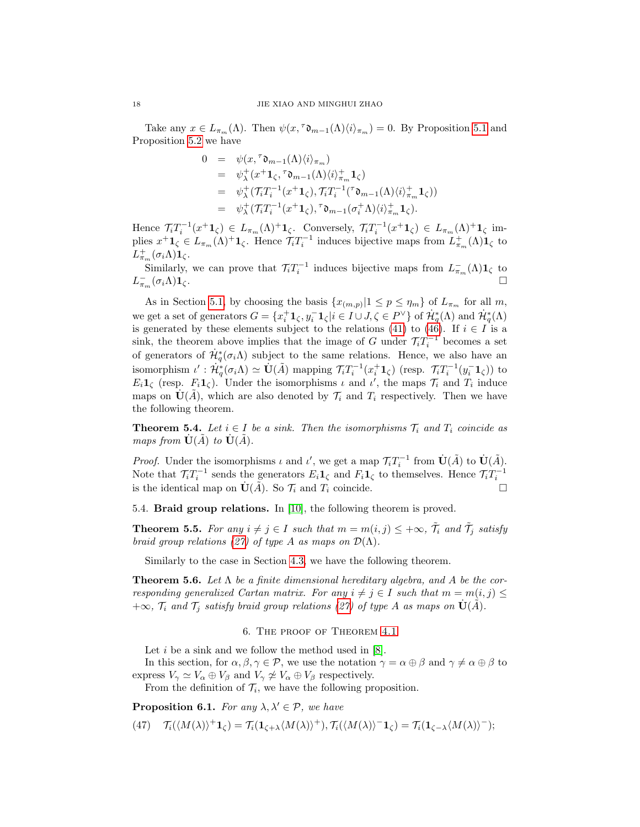Take any  $x \in L_{\pi_m}(\Lambda)$ . Then  $\psi(x, \tau_{m-1}(\Lambda)\langle i \rangle_{\pi_m}) = 0$ . By Proposition [5.1](#page-15-0) and Proposition [5.2](#page-16-0) we have

$$
0 = \psi(x, {}^{\tau}\mathfrak{d}_{m-1}(\Lambda)\langle i \rangle_{\pi_m})
$$
  
\n
$$
= \psi_{\lambda}^{+}(x^{+}\mathbf{1}_{\zeta}, {}^{\tau}\mathfrak{d}_{m-1}(\Lambda)\langle i \rangle_{\pi_m}^{+}\mathbf{1}_{\zeta})
$$
  
\n
$$
= \psi_{\lambda}^{+}(\mathcal{T}_{i}T_{i}^{-1}(x^{+}\mathbf{1}_{\zeta}), \mathcal{T}_{i}T_{i}^{-1}({}^{\tau}\mathfrak{d}_{m-1}(\Lambda)\langle i \rangle_{\pi_m}^{+}\mathbf{1}_{\zeta}))
$$
  
\n
$$
= \psi_{\lambda}^{+}(\mathcal{T}_{i}T_{i}^{-1}(x^{+}\mathbf{1}_{\zeta}), {}^{\tau}\mathfrak{d}_{m-1}(\sigma_{i}^{+}\Lambda)\langle i \rangle_{\pi_m}^{+}\mathbf{1}_{\zeta}).
$$

Hence  $\mathcal{T}_i T_i^{-1}(x^+ \mathbf{1}_{\zeta}) \in L_{\pi_m}(\Lambda)^+ \mathbf{1}_{\zeta}$ . Conversely,  $\mathcal{T}_i T_i^{-1}(x^+ \mathbf{1}_{\zeta}) \in L_{\pi_m}(\Lambda)^+ \mathbf{1}_{\zeta}$  implies  $x^+ \mathbf{1}_{\zeta} \in L_{\pi_m}(\Lambda)^+ \mathbf{1}_{\zeta}$ . Hence  $\mathcal{T}_i T_i^{-1}$  induces bijective maps from  $L^+_{\pi_m}(\Lambda) \mathbf{1}_{\zeta}$  to  $L_{\pi_m}^+(\sigma_i\Lambda)\mathbf{1}_\zeta.$ 

Similarly, we can prove that  $\mathcal{T}_i T_i^{-1}$  induces bijective maps from  $L_{\pi_m}^-(\Lambda) \mathbf{1}_{\zeta}$  to  $L_{\pi_m}^ (\sigma_i \Lambda) \mathbf{1}_{\zeta}$  .

As in Section [5.1,](#page-12-1) by choosing the basis  $\{x_{(m,p)}|1 \leq p \leq \eta_m\}$  of  $L_{\pi_m}$  for all m, we get a set of generators  $G = \{x_i^+ \mathbf{1}_{\zeta}, y_i^- \mathbf{1}_{\zeta} | i \in I \cup J, \zeta \in P^{\vee}\}\$  of  $\mathcal{H}_q^*(\Lambda)$  and  $\mathcal{H}_q^*(\Lambda)$ is generated by these elements subject to the relations [\(41\)](#page-13-0) to [\(46\)](#page-14-0). If  $i \in I$  is a sink, the theorem above implies that the image of G under  $\mathcal{T}_i T_i^{-1}$  becomes a set of generators of  $\dot{\mathcal{H}}_q^*(\sigma_i\Lambda)$  subject to the same relations. Hence, we also have an isomorphism  $\iota': \dot{H}_q^*(\sigma_i \Lambda) \simeq \dot{\mathbf{U}}(\tilde{A})$  mapping  $\mathcal{T}_i T_i^{-1}(x_i^+ \mathbf{1}_{\zeta})$  (resp.  $\mathcal{T}_i T_i^{-1}(y_i^- \mathbf{1}_{\zeta})$ ) to  $E_i \mathbf{1}_{\zeta}$  (resp.  $F_i \mathbf{1}_{\zeta}$ ). Under the isomorphisms  $\iota$  and  $\iota'$ , the maps  $\mathcal{T}_i$  and  $T_i$  induce maps on  $\dot{\mathbf U}(\tilde{A})$ , which are also denoted by  $\mathcal{T}_i$  and  $T_i$  respectively. Then we have the following theorem.

**Theorem 5.4.** Let  $i \in I$  be a sink. Then the isomorphisms  $\mathcal{T}_i$  and  $T_i$  coincide as maps from  $\dot{\mathbf{U}}(\tilde{A})$  to  $\dot{\mathbf{U}}(\tilde{A})$ .

*Proof.* Under the isomorphisms  $\iota$  and  $\iota'$ , we get a map  $\mathcal{T}_i T_i^{-1}$  from  $\dot{\mathbf{U}}(\tilde{A})$  to  $\dot{\mathbf{U}}(\tilde{A})$ . Note that  $\mathcal{T}_i T_i^{-1}$  sends the generators  $E_i \mathbf{1}_{\zeta}$  and  $F_i \mathbf{1}_{\zeta}$  to themselves. Hence  $\mathcal{T}_i T_i^{-1}$ is the identical map on  $\dot{\mathbf{U}}(\tilde{A})$ . So  $\mathcal{T}_i$  and  $T_i$  coincide.

5.4. Braid group relations. In [\[10\]](#page-23-9), the following theorem is proved.

**Theorem 5.5.** For any  $i \neq j \in I$  such that  $m = m(i, j) \leq +\infty$ ,  $\tilde{\mathcal{T}}_i$  and  $\tilde{\mathcal{T}}_j$  satisfy braid group relations [\(27\)](#page-11-0) of type A as maps on  $\mathcal{D}(\Lambda)$ .

Similarly to the case in Section [4.3,](#page-11-2) we have the following theorem.

**Theorem 5.6.** Let  $\Lambda$  be a finite dimensional hereditary algebra, and A be the corresponding generalized Cartan matrix. For any  $i \neq j \in I$  such that  $m = m(i, j) \leq j$  $+\infty$ ,  $\mathcal{T}_i$  and  $\mathcal{T}_j$  satisfy braid group relations [\(27\)](#page-11-0) of type A as maps on  $\dot{\mathbf{U}}(\tilde{A})$ .

### 6. The proof of Theorem [4.1](#page-9-2)

Let  $i$  be a sink and we follow the method used in  $[8]$ .

In this section, for  $\alpha, \beta, \gamma \in \mathcal{P}$ , we use the notation  $\gamma = \alpha \oplus \beta$  and  $\gamma \neq \alpha \oplus \beta$  to express  $V_{\gamma} \simeq V_{\alpha} \oplus V_{\beta}$  and  $V_{\gamma} \not\simeq V_{\alpha} \oplus V_{\beta}$  respectively.

From the definition of  $\mathcal{T}_i$ , we have the following proposition.

<span id="page-17-0"></span>**Proposition 6.1.** For any  $\lambda, \lambda' \in \mathcal{P}$ , we have

(47)  $\mathcal{T}_i(\langle M(\lambda)\rangle^+ \mathbf{1}_{\zeta}) = \mathcal{T}_i(\mathbf{1}_{\zeta+\lambda} \langle M(\lambda)\rangle^+), \mathcal{T}_i(\langle M(\lambda)\rangle^- \mathbf{1}_{\zeta}) = \mathcal{T}_i(\mathbf{1}_{\zeta-\lambda} \langle M(\lambda)\rangle^-);$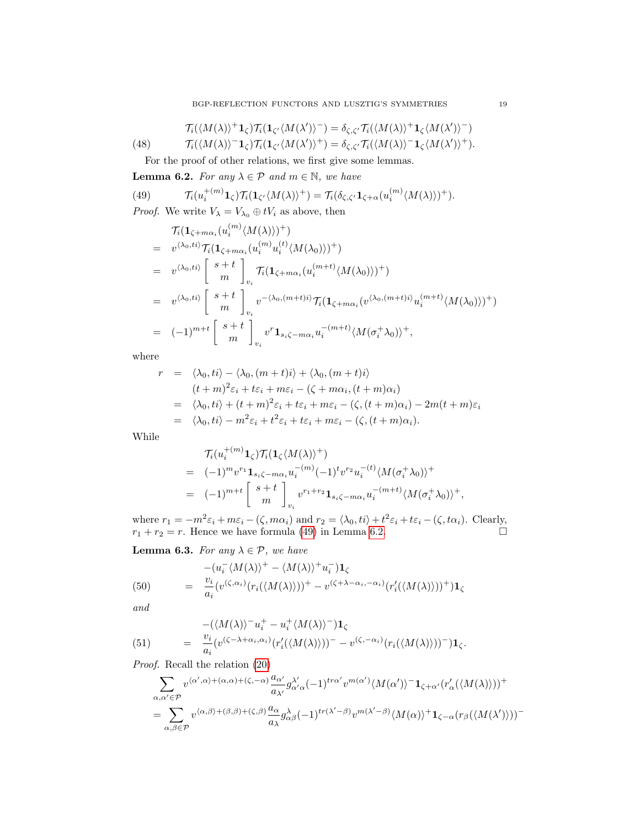<span id="page-18-0"></span>
$$
\mathcal{T}_i(\langle M(\lambda)\rangle^+\mathbf{1}_{\zeta})\mathcal{T}_i(\mathbf{1}_{\zeta'}\langle M(\lambda')\rangle^-)=\delta_{\zeta,\zeta'}\mathcal{T}_i(\langle M(\lambda)\rangle^+\mathbf{1}_{\zeta}\langle M(\lambda')\rangle^-)
$$

(48) 
$$
\mathcal{T}_i(\langle M(\lambda)\rangle^{-1}\mathbf{1}_{\zeta})\mathcal{T}_i(\mathbf{1}_{\zeta'}\langle M(\lambda')\rangle^{+})=\delta_{\zeta,\zeta'}\mathcal{T}_i(\langle M(\lambda)\rangle^{-1}\mathbf{1}_{\zeta}\langle M(\lambda')\rangle^{+}).
$$

For the proof of other relations, we first give some lemmas.

<span id="page-18-1"></span>**Lemma 6.2.** For any  $\lambda \in \mathcal{P}$  and  $m \in \mathbb{N}$ , we have

(49) 
$$
\mathcal{T}_i(u_i^{+(m)}\mathbf{1}_{\zeta})\mathcal{T}_i(\mathbf{1}_{\zeta'}\langle M(\lambda)\rangle^+) = \mathcal{T}_i(\delta_{\zeta,\zeta'}\mathbf{1}_{\zeta+\alpha}(u_i^{(m)}\langle M(\lambda)\rangle)^+).
$$

*Proof.* We write  $V_{\lambda} = V_{\lambda_0} \oplus tV_i$  as above, then

$$
T_i(\mathbf{1}_{\zeta+m\alpha_i}(u_i^{(m)}\langle M(\lambda)\rangle)^+)
$$
  
\n
$$
= v^{\langle \lambda_0, ti \rangle} T_i(\mathbf{1}_{\zeta+m\alpha_i}(u_i^{(m)}u_i^{(t)}\langle M(\lambda_0)\rangle)^+)
$$
  
\n
$$
= v^{\langle \lambda_0, ti \rangle} \begin{bmatrix} s+t \\ m \end{bmatrix}_{v_i} T_i(\mathbf{1}_{\zeta+m\alpha_i}(u_i^{(m+t)}\langle M(\lambda_0)\rangle)^+)
$$
  
\n
$$
= v^{\langle \lambda_0, ti \rangle} \begin{bmatrix} s+t \\ m \end{bmatrix}_{v_i} v^{-\langle \lambda_0, (m+t)i\rangle} T_i(\mathbf{1}_{\zeta+m\alpha_i}(v^{\langle \lambda_0, (m+t)i\rangle}u_i^{(m+t)}\langle M(\lambda_0)\rangle)^+)
$$
  
\n
$$
= (-1)^{m+t} \begin{bmatrix} s+t \\ m \end{bmatrix}_{v_i} v^r \mathbf{1}_{s_i\zeta-m\alpha_i} u_i^{-(m+t)}\langle M(\sigma_i^+\lambda_0)\rangle^+,
$$

where

$$
r = \langle \lambda_0, ti \rangle - \langle \lambda_0, (m+t)i \rangle + \langle \lambda_0, (m+t)i \rangle
$$
  
\n
$$
(t+m)^2 \varepsilon_i + t\varepsilon_i + m\varepsilon_i - (\zeta + m\alpha_i, (t+m)\alpha_i)
$$
  
\n
$$
= \langle \lambda_0, ti \rangle + (t+m)^2 \varepsilon_i + t\varepsilon_i + m\varepsilon_i - (\zeta, (t+m)\alpha_i) - 2m(t+m)\varepsilon_i
$$
  
\n
$$
= \langle \lambda_0, ti \rangle - m^2 \varepsilon_i + t^2 \varepsilon_i + t\varepsilon_i + m\varepsilon_i - (\zeta, (t+m)\alpha_i).
$$

While

$$
\mathcal{T}_i(u_i^{+(m)}\mathbf{1}_{\zeta})\mathcal{T}_i(\mathbf{1}_{\zeta}\langle M(\lambda)\rangle^+)
$$
\n
$$
= (-1)^m v^{r_1}\mathbf{1}_{s_i\zeta - m\alpha_i} u_i^{-(m)}(-1)^t v^{r_2} u_i^{-(t)}\langle M(\sigma_i^+\lambda_0)\rangle^+
$$
\n
$$
= (-1)^{m+t} \begin{bmatrix} s+t \\ m \end{bmatrix}_{v_i} v^{r_1+r_2}\mathbf{1}_{s_i\zeta - m\alpha_i} u_i^{-(m+t)}\langle M(\sigma_i^+\lambda_0)\rangle^+,
$$

where  $r_1 = -m^2 \varepsilon_i + m\varepsilon_i - (\zeta, m\alpha_i)$  and  $r_2 = \langle \lambda_0, ti \rangle + t^2 \varepsilon_i + t\varepsilon_i - (\zeta, t\alpha_i)$ . Clearly,  $r_1 + r_2 = r$ . Hence we have formula [\(49\)](#page-18-0) in Lemma [6.2.](#page-18-1)

<span id="page-18-4"></span>**Lemma 6.3.** For any  $\lambda \in \mathcal{P}$ , we have

<span id="page-18-2"></span>(50) 
$$
- (u_i^{-} \langle M(\lambda) \rangle^{+} - \langle M(\lambda) \rangle^{+} u_i^{-}) \mathbf{1}_{\zeta}
$$

$$
= \frac{v_i}{a_i} (v^{(\zeta, \alpha_i)} (r_i(\langle M(\lambda) \rangle))^{+} - v^{(\zeta + \lambda - \alpha_i, -\alpha_i)} (r_i'(\langle M(\lambda) \rangle))^{+}) \mathbf{1}_{\zeta}
$$

and

<span id="page-18-3"></span>(51) 
$$
-((M(\lambda))^{-}u_{i}^{+}-u_{i}^{+}\langle M(\lambda)\rangle^{-})\mathbf{1}_{\zeta}
$$

$$
= \frac{v_{i}}{a_{i}}(v^{(\zeta-\lambda+\alpha_{i},\alpha_{i})}(r'_{i}(\langle M(\lambda)\rangle))^{-}-v^{(\zeta,-\alpha_{i})}(r_{i}(\langle M(\lambda)\rangle))^{-})\mathbf{1}_{\zeta}.
$$

Proof. Recall the relation [\(20\)](#page-7-1)

$$
\begin{split} & \sum_{\alpha,\alpha'\in\mathcal{P}} v^{\langle\alpha',\alpha\rangle+(\alpha,\alpha)+(\zeta,-\alpha)}\frac{a_{\alpha'}}{a_{\lambda'}}g_{\alpha'\alpha}^{\lambda'}(-1)^{tr\alpha'}v^{m(\alpha')}\langle M(\alpha')\rangle^{-}\mathbf{1}_{\zeta+\alpha'}(r_{\alpha}'(\langle M(\lambda)\rangle))^+\\ &=\sum_{\alpha,\beta\in\mathcal{P}} v^{\langle\alpha,\beta\rangle+(\beta,\beta)+(\zeta,\beta)}\frac{a_{\alpha}}{a_{\lambda}}g_{\alpha\beta}^{\lambda}(-1)^{tr(\lambda'-\beta)}v^{m(\lambda'-\beta)}\langle M(\alpha)\rangle^{+}\mathbf{1}_{\zeta-\alpha}(r_{\beta}(\langle M(\lambda')\rangle))^{-} \end{split}
$$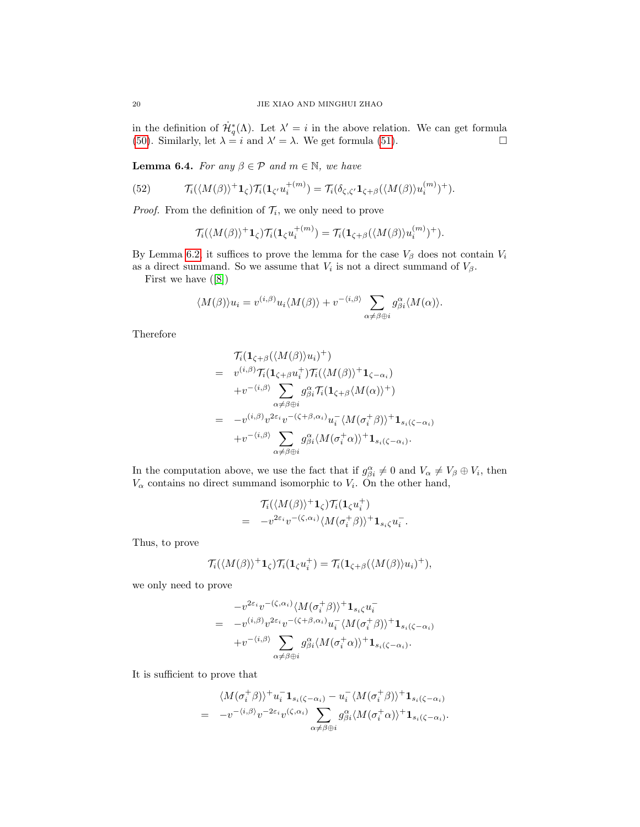in the definition of  $\dot{\mathcal{H}}_q^*(\Lambda)$ . Let  $\lambda' = i$  in the above relation. We can get formula [\(50\)](#page-18-2). Similarly, let  $\lambda = i$  and  $\lambda' = \lambda$ . We get formula [\(51\)](#page-18-3).

<span id="page-19-1"></span>**Lemma 6.4.** For any  $\beta \in \mathcal{P}$  and  $m \in \mathbb{N}$ , we have

(52) 
$$
\mathcal{T}_i(\langle M(\beta)\rangle^+ \mathbf{1}_{\zeta}) \mathcal{T}_i(\mathbf{1}_{\zeta'} u_i^{+(m)}) = \mathcal{T}_i(\delta_{\zeta,\zeta'} \mathbf{1}_{\zeta+\beta}(\langle M(\beta)\rangle u_i^{(m)})^+).
$$

*Proof.* From the definition of  $\mathcal{T}_i$ , we only need to prove

<span id="page-19-0"></span>
$$
\mathcal{T}_i(\langle M(\beta)\rangle^+\mathbf{1}_{\zeta})\mathcal{T}_i(\mathbf{1}_{\zeta}u_i^{+(m)}) = \mathcal{T}_i(\mathbf{1}_{\zeta+\beta}(\langle M(\beta)\rangle u_i^{(m)})^+).
$$

By Lemma [6.2,](#page-18-1) it suffices to prove the lemma for the case  $V_\beta$  does not contain  $V_i$ as a direct summand. So we assume that  $V_i$  is not a direct summand of  $V_\beta$ .

First we have([\[8\]](#page-23-7))

$$
\langle M(\beta) \rangle u_i = v^{(i,\beta)} u_i \langle M(\beta) \rangle + v^{-\langle i,\beta \rangle} \sum_{\alpha \neq \beta \oplus i} g_{\beta i}^{\alpha} \langle M(\alpha) \rangle.
$$

Therefore

$$
\mathcal{T}_{i}(\mathbf{1}_{\zeta+\beta}(\langle M(\beta)\rangle u_{i})^{+})
$$
\n
$$
= v^{(i,\beta)}\mathcal{T}_{i}(\mathbf{1}_{\zeta+\beta}u_{i}^{+})\mathcal{T}_{i}(\langle M(\beta)\rangle^{+}\mathbf{1}_{\zeta-\alpha_{i}})
$$
\n
$$
+v^{-(i,\beta)}\sum_{\alpha\neq\beta\oplus i}g^{\alpha}_{\beta i}\mathcal{T}_{i}(\mathbf{1}_{\zeta+\beta}\langle M(\alpha)\rangle^{+})
$$
\n
$$
= -v^{(i,\beta)}v^{2\varepsilon_{i}}v^{-(\zeta+\beta,\alpha_{i})}u_{i}^{-}\langle M(\sigma_{i}^{+}\beta)\rangle^{+}\mathbf{1}_{s_{i}(\zeta-\alpha_{i})}
$$
\n
$$
+v^{-(i,\beta)}\sum_{\alpha\neq\beta\oplus i}g^{\alpha}_{\beta i}\langle M(\sigma_{i}^{+}\alpha)\rangle^{+}\mathbf{1}_{s_{i}(\zeta-\alpha_{i})}.
$$

In the computation above, we use the fact that if  $g_{\beta i}^{\alpha} \neq 0$  and  $V_{\alpha} \neq V_{\beta} \oplus V_i$ , then  $V_{\alpha}$  contains no direct summand isomorphic to  $V_i$ . On the other hand,

$$
\mathcal{T}_i(\langle M(\beta)\rangle^+\mathbf{1}_{\zeta})\mathcal{T}_i(\mathbf{1}_{\zeta}u_i^+)
$$
\n
$$
= -v^{2\varepsilon_i}v^{-(\zeta,\alpha_i)}\langle M(\sigma_i^+\beta)\rangle^+\mathbf{1}_{s_i\zeta}u_i^-
$$

.

Thus, to prove

$$
\mathcal{T}_i(\langle M(\beta)\rangle^+ \mathbf{1}_{\zeta}) \mathcal{T}_i(\mathbf{1}_{\zeta} u_i^+) = \mathcal{T}_i(\mathbf{1}_{\zeta + \beta}(\langle M(\beta)\rangle u_i)^+),
$$

we only need to prove

$$
-v^{2\varepsilon_i}v^{-(\zeta,\alpha_i)}\langle M(\sigma_i^+\beta)\rangle^+\mathbf{1}_{s_i\zeta}u_i^-
$$
  
=  $-v^{(i,\beta)}v^{2\varepsilon_i}v^{-(\zeta+\beta,\alpha_i)}u_i^-\langle M(\sigma_i^+\beta)\rangle^+\mathbf{1}_{s_i(\zeta-\alpha_i)}$   
+ $v^{-(i,\beta)}\sum_{\alpha\neq\beta\oplus i}g_{\beta i}^{\alpha}\langle M(\sigma_i^+\alpha)\rangle^+\mathbf{1}_{s_i(\zeta-\alpha_i)}.$ 

It is sufficient to prove that

$$
\langle M(\sigma_i^+\beta)\rangle^+ u_i^- \mathbf{1}_{s_i(\zeta-\alpha_i)} - u_i^- \langle M(\sigma_i^+\beta)\rangle^+ \mathbf{1}_{s_i(\zeta-\alpha_i)}
$$
  
= 
$$
-v^{-\langle i,\beta\rangle}v^{-2\varepsilon_i}v^{\langle \zeta,\alpha_i\rangle}\sum_{\alpha\neq\beta\oplus i}g_{\beta i}^{\alpha}\langle M(\sigma_i^+\alpha)\rangle^+ \mathbf{1}_{s_i(\zeta-\alpha_i)}.
$$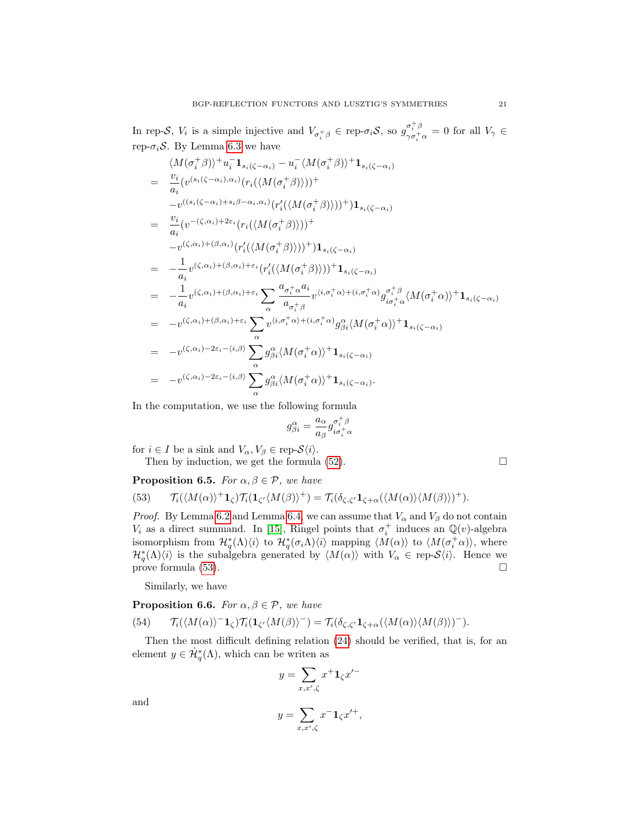In rep-S,  $V_i$  is a simple injective and  $V_{\sigma_i^+\beta} \in \text{rep-}\sigma_i \mathcal{S}$ , so  $g_{\gamma\sigma_i^+}^{\sigma_i^+\beta}$  $\frac{\partial_i}{\partial \sigma_i^+ \alpha} = 0$  for all  $V_\gamma \in$ rep- $\sigma_i$ S. By Lemma [6.3](#page-18-4) we have

$$
\langle M(\sigma_i^+ \beta) \rangle^+ u_i^- \mathbf{1}_{s_i(\zeta - \alpha_i)} - u_i^- \langle M(\sigma_i^+ \beta) \rangle^+ \mathbf{1}_{s_i(\zeta - \alpha_i)}
$$
\n
$$
= \frac{v_i}{a_i} (v^{(s_i(\zeta - \alpha_i), \alpha_i)} (r_i(\langle M(\sigma_i^+ \beta) \rangle))^+
$$
\n
$$
-v^{((s_i(\zeta - \alpha_i) + s_i \beta - \alpha_i, \alpha_i)} (r_i'(\langle M(\sigma_i^+ \beta) \rangle))^+ ) \mathbf{1}_{s_i(\zeta - \alpha_i)}
$$
\n
$$
= \frac{v_i}{a_i} (v^{-(\zeta, \alpha_i) + 2\epsilon_i} (r_i(\langle M(\sigma_i^+ \beta) \rangle))^+ ) \mathbf{1}_{s_i(\zeta - \alpha_i)}
$$
\n
$$
= -\frac{1}{a_i} v^{(\zeta, \alpha_i) + (\beta, \alpha_i) + \epsilon_i} (r_i'(\langle M(\sigma_i^+ \beta) \rangle))^+ \mathbf{1}_{s_i(\zeta - \alpha_i)}
$$
\n
$$
= -\frac{1}{a_i} v^{(\zeta, \alpha_i) + (\beta, \alpha_i) + \epsilon_i} \sum_{\alpha} \frac{a_{\sigma_i^+ \alpha_i} a_i}{a_{\sigma_i^+ \beta}} v^{(i, \sigma_i^+ \alpha) + (i, \sigma_i^+ \alpha)} g_{i\sigma_i^+ \alpha}^{\sigma_i^+ \beta} \langle M(\sigma_i^+ \alpha) \rangle^+ \mathbf{1}_{s_i(\zeta - \alpha_i)}
$$
\n
$$
= -v^{(\zeta, \alpha_i) + (\beta, \alpha_i) + \epsilon_i} \sum_{\alpha} v^{(i, \sigma_i^+ \alpha) + (i, \sigma_i^+ \alpha)} g_{\beta_i}^{\alpha} \langle M(\sigma_i^+ \alpha) \rangle^+ \mathbf{1}_{s_i(\zeta - \alpha_i)}
$$
\n
$$
= -v^{(\zeta, \alpha_i) - 2\epsilon_i - \langle i, \beta \rangle} \sum_{\alpha} g_{\beta_i}^{\alpha} \langle M(\sigma_i^+ \alpha) \rangle^+ \mathbf{1}_{s_i(\zeta - \alpha_i)}.
$$

In the computation, we use the following formula

<span id="page-20-0"></span>
$$
g_{\beta i}^{\alpha}=\frac{a_{\alpha}}{a_{\beta}}g_{i\sigma_{i}^{+}\alpha}^{\sigma_{i}^{+}\beta}
$$

for  $i \in I$  be a sink and  $V_{\alpha}, V_{\beta} \in \text{rep-}S\langle i \rangle$ .

Then by induction, we get the formula  $(52)$ .

<span id="page-20-1"></span>**Proposition 6.5.** For  $\alpha, \beta \in \mathcal{P}$ , we have

(53) 
$$
\mathcal{T}_i(\langle M(\alpha)\rangle^+ \mathbf{1}_{\zeta}) \mathcal{T}_i(\mathbf{1}_{\zeta'} \langle M(\beta)\rangle^+) = \mathcal{T}_i(\delta_{\zeta,\zeta'} \mathbf{1}_{\zeta+\alpha}(\langle M(\alpha)\rangle \langle M(\beta)\rangle)^+).
$$

*Proof.* By Lemma [6.2](#page-18-1) and Lemma [6.4,](#page-19-1) we can assume that  $V_{\alpha}$  and  $V_{\beta}$  do not contain  $V_i$  as a direct summand. In [\[15\]](#page-24-0), Ringel points that  $\sigma_i^+$  induces an  $\mathbb{Q}(v)$ -algebra isomorphism from  $\mathcal{H}_q^*(\Lambda)\langle i\rangle$  to  $\mathcal{H}_q^*(\sigma_i\Lambda)\langle i\rangle$  mapping  $\langle M(\alpha)\rangle$  to  $\langle M(\sigma_i^+\alpha)\rangle$ , where  $\mathcal{H}_q^*(\Lambda)\langle i\rangle$  is the subalgebra generated by  $\langle M(\alpha)\rangle$  with  $V_\alpha \in \text{rep-}S\langle i\rangle$ . Hence we prove formula [\(53\)](#page-20-0).

Similarly, we have

<span id="page-20-2"></span>**Proposition 6.6.** For  $\alpha, \beta \in \mathcal{P}$ , we have

(54) 
$$
\mathcal{T}_i(\langle M(\alpha)\rangle^{-1}\zeta)\mathcal{T}_i(\mathbf{1}_{\zeta'}\langle M(\beta)\rangle^{-})=\mathcal{T}_i(\delta_{\zeta,\zeta'}\mathbf{1}_{\zeta+\alpha}(\langle M(\alpha)\rangle\langle M(\beta)\rangle)^{-}).
$$

Then the most difficult defining relation [\(24\)](#page-7-2) should be verified, that is, for an element  $y \in \dot{\mathcal{H}}_q^*(\Lambda)$ , which can be writen as

$$
y = \sum_{x,x',\zeta} x^+ \mathbf{1}_{\zeta} x'^-
$$

$$
y = \sum_{x,x',\zeta} x^- \mathbf{1}_{\zeta} x'^+,
$$

and

$$
\frac{1}{2}
$$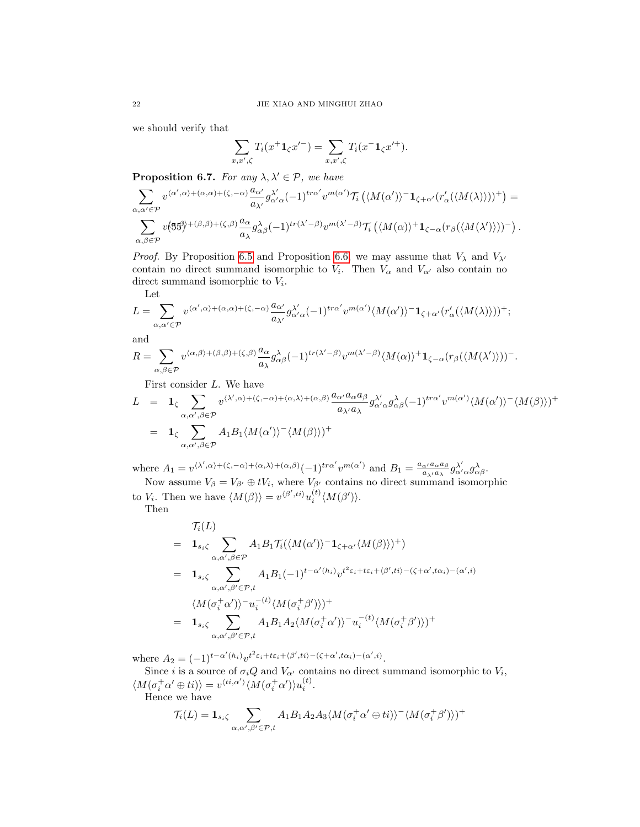we should verify that

$$
\sum_{x,x',\zeta} T_i(x^+\mathbf{1}_{\zeta}x'^-) = \sum_{x,x',\zeta} T_i(x^-\mathbf{1}_{\zeta}x'^+).
$$

<span id="page-21-0"></span>**Proposition 6.7.** For any  $\lambda, \lambda' \in \mathcal{P}$ , we have

$$
\sum_{\alpha,\alpha'\in\mathcal{P}}v^{\langle\alpha',\alpha\rangle+(\alpha,\alpha)+(\zeta,-\alpha)}\frac{a_{\alpha'}}{a_{\lambda'}}g_{\alpha'\alpha}^{\lambda'}(-1)^{tra'}v^{m(\alpha')} \mathcal{T}_i\left(\langle M(\alpha')\rangle^{-1}_{\zeta+\alpha'}(r'_{\alpha}\langle\langle M(\lambda)\rangle)\rangle^{+}\right)=
$$
  

$$
\sum_{\alpha,\beta\in\mathcal{P}}v(\mathfrak{B}\mathfrak{H})^{+(\beta,\beta)+(\zeta,\beta)}\frac{a_{\alpha}}{a_{\lambda}}g_{\alpha\beta}^{\lambda}(-1)^{tr(\lambda'-\beta)}v^{m(\lambda'-\beta)}\mathcal{T}_i\left(\langle M(\alpha)\rangle^{+}1_{\zeta-\alpha}(r_{\beta}(\langle M(\lambda')\rangle))\right)^{-}\right).
$$

*Proof.* By Proposition [6.5](#page-20-1) and Proposition [6.6,](#page-20-2) we may assume that  $V_{\lambda}$  and  $V_{\lambda'}$ contain no direct summand isomorphic to  $V_i$ . Then  $V_{\alpha}$  and  $V_{\alpha'}$  also contain no direct summand isomorphic to  $V_i$ .

Let

$$
L = \sum_{\alpha,\alpha'\in\mathcal{P}} v^{\langle\alpha',\alpha\rangle + (\alpha,\alpha) + (\zeta,-\alpha)} \frac{a_{\alpha'}}{a_{\lambda'}} g^{\lambda'}_{\alpha'\alpha}(-1)^{tr\alpha'} v^{m(\alpha')} \langle M(\alpha')\rangle^{-1} \mathbf{1}_{\zeta+\alpha'} (r'_{\alpha}(\langle M(\lambda)\rangle))^{+};
$$

and

$$
R = \sum_{\alpha,\beta \in \mathcal{P}} v^{\langle \alpha,\beta \rangle + (\beta,\beta) + (\zeta,\beta)} \frac{a_{\alpha}}{a_{\lambda}} g_{\alpha\beta}^{\lambda} (-1)^{tr(\lambda' - \beta)} v^{m(\lambda' - \beta)} \langle M(\alpha) \rangle^+ \mathbf{1}_{\zeta - \alpha} (r_{\beta}(\langle M(\lambda') \rangle))^-.
$$

First consider L. We have

$$
L = \mathbf{1}_{\zeta} \sum_{\alpha,\alpha',\beta \in \mathcal{P}} v^{\langle \lambda',\alpha \rangle + (\zeta,-\alpha) + \langle \alpha,\lambda \rangle + (\alpha,\beta)} \frac{a_{\alpha'} a_{\alpha} a_{\beta}}{a_{\lambda'} a_{\lambda}} g^{\lambda'}_{\alpha'} g^{\lambda}_{\alpha\beta} (-1)^{tr\alpha'} v^{m(\alpha')} \langle M(\alpha') \rangle^{-} \langle M(\beta) \rangle)^{+}
$$
  
=  $\mathbf{1}_{\zeta} \sum_{\alpha,\alpha',\beta \in \mathcal{P}} A_1 B_1 \langle M(\alpha') \rangle^{-} \langle M(\beta) \rangle)^{+}$ 

where  $A_1 = v^{(\lambda',\alpha)+(\zeta,-\alpha)+\langle\alpha,\lambda\rangle +(\alpha,\beta)} (-1)^{tr\alpha'} v^{m(\alpha')}$  and  $B_1 = \frac{a_{\alpha'}a_{\alpha}a_{\beta}}{a_{\alpha'}a_{\alpha}}$  $\frac{\alpha}{a_{\lambda'}a_{\lambda}}\frac{a_{\beta}}{a_{\lambda'}}g_{\alpha'\alpha}^{\lambda'}g_{\alpha\beta}^{\lambda}.$ 

Now assume  $V_{\beta} = V_{\beta'} \oplus tV_i$ , where  $V_{\beta'}$  contains no direct summand isomorphic to  $V_i$ . Then we have  $\langle M(\beta)\rangle = v^{\langle \beta',ti\rangle} u_i^{(t)} \langle M(\beta')\rangle$ .

Then

$$
\mathcal{T}_{i}(L)
$$
\n
$$
= \mathbf{1}_{s_{i}\zeta} \sum_{\alpha,\alpha',\beta \in \mathcal{P}} A_{1} B_{1} \mathcal{T}_{i}(\langle M(\alpha')\rangle^{-} \mathbf{1}_{\zeta+\alpha'} \langle M(\beta)\rangle)^{+})
$$
\n
$$
= \mathbf{1}_{s_{i}\zeta} \sum_{\alpha,\alpha',\beta' \in \mathcal{P},t} A_{1} B_{1}(-1)^{t-\alpha'(h_{i})} v^{t^{2} \varepsilon_{i}+t\varepsilon_{i}+\langle \beta',t_{i}\rangle-(\zeta+\alpha',t\alpha_{i})-(\alpha',t)} \langle M(\sigma_{i}^{+}\alpha')\rangle^{-} u_{i}^{-(t)} \langle M(\sigma_{i}^{+}\beta')\rangle)^{+}
$$
\n
$$
= \mathbf{1}_{s_{i}\zeta} \sum_{\alpha,\alpha',\beta' \in \mathcal{P},t} A_{1} B_{1} A_{2} \langle M(\sigma_{i}^{+}\alpha')\rangle^{-} u_{i}^{-(t)} \langle M(\sigma_{i}^{+}\beta')\rangle)^{+}
$$

where  $A_2 = (-1)^{t-\alpha'(h_i)} v^{t^2 \varepsilon_i + t \varepsilon_i + \langle \beta', t i \rangle - (\zeta + \alpha', t \alpha_i) - (\alpha', i)}$ .

Since *i* is a source of  $\sigma_i Q$  and  $V_{\alpha'}$  contains no direct summand isomorphic to  $V_i$ ,  $\langle M(\sigma_i^+\alpha'\oplus ti)\rangle = v^{\langle ti,\alpha'\rangle}\langle M(\sigma_i^+\alpha')\rangle u_i^{(t)}.$ 

Hence we have

$$
\mathcal{T}_i(L) = \mathbf{1}_{s_i \zeta} \sum_{\alpha, \alpha', \beta' \in \mathcal{P}, t} A_1 B_1 A_2 A_3 \langle M(\sigma_i^+ \alpha' \oplus ti) \rangle^{-} \langle M(\sigma_i^+ \beta') \rangle )^{+}
$$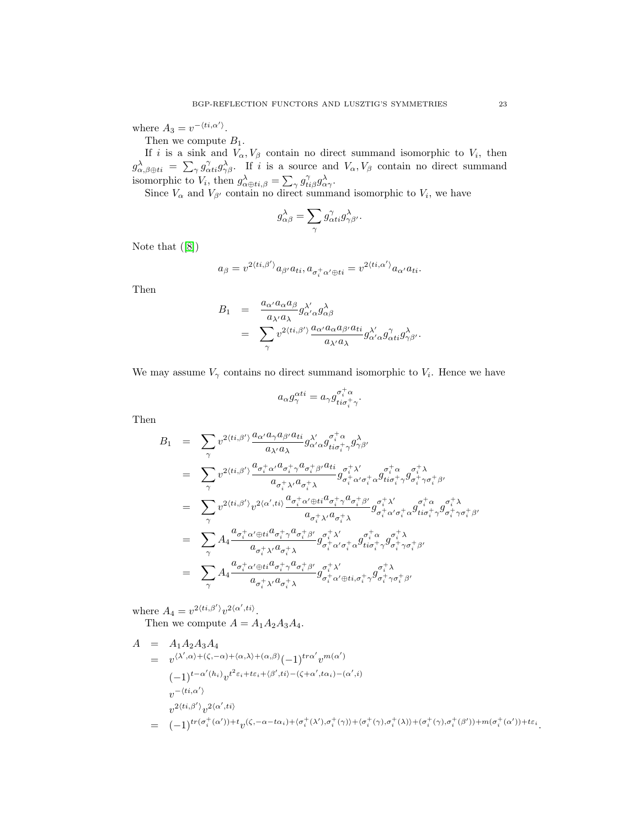where  $A_3 = v^{-\langle ti, \alpha' \rangle}$ .

Then we compute  $B_1$ .

If i is a sink and  $V_{\alpha}, V_{\beta}$  contain no direct summand isomorphic to  $V_i$ , then  $g_{\alpha,\beta\oplus ti}^{\lambda} = \sum_{\gamma} g_{\alpha ti}^{\gamma} g_{\gamma\beta}^{\lambda}$ . If i is a source and  $V_{\alpha}, V_{\beta}$  contain no direct summand isomorphic to  $V_i$ , then  $g_{\alpha \oplus ti,\beta}^{\lambda} = \sum_{\gamma} g_{ti\beta}^{\gamma} g_{\alpha\gamma}^{\lambda}$ .

Since  $V_{\alpha}$  and  $V_{\beta'}$  contain no direct summand isomorphic to  $V_i$ , we have

$$
g_{\alpha\beta}^{\lambda} = \sum_{\gamma} g_{\alpha ti}^{\gamma} g_{\gamma\beta'}^{\lambda}.
$$

Note that([\[8\]](#page-23-7))

$$
a_{\beta} = v^{2\langle ti,\beta'\rangle} a_{\beta'} a_{ti}, a_{\sigma_i^+\alpha'\oplus ti} = v^{2\langle ti,\alpha'\rangle} a_{\alpha'} a_{ti}.
$$

Then

$$
\begin{array}{rcl} B_1 & = & \displaystyle \frac{a_{\alpha'}a_{\alpha}a_{\beta}}{a_{\lambda'}a_{\lambda}}g_{\alpha'\alpha}^{\lambda'}g_{\alpha\beta}^{\lambda} \\ & = & \displaystyle \sum_{\gamma}v^{2\langle ti,\beta'\rangle}\frac{a_{\alpha'}a_{\alpha}a_{\beta'}a_{ti}}{a_{\lambda'}a_{\lambda}}g_{\alpha'\alpha}^{\lambda'}g_{\alpha ti}^{\gamma}g_{\gamma\beta'}^{\lambda}. \end{array}
$$

We may assume  $V_{\gamma}$  contains no direct summand isomorphic to  $V_i$ . Hence we have

$$
a_\alpha g_\gamma^{\alpha t i}=a_\gamma g_{ti\sigma_i^+\gamma}^{\sigma_i^+\alpha}.
$$

Then

$$
B_1 = \sum_{\gamma} v^{2\langle ti,\beta'\rangle} \frac{a_{\alpha'} a_{\gamma} a_{\beta'} a_{ti}}{a_{\lambda'} a_{\lambda}} g_{\alpha'\alpha}^{\lambda'} g_{ti\sigma_i^+ \gamma}^{\sigma_i^+ \alpha} g_{\gamma\beta'}^{\lambda}
$$
  
\n
$$
= \sum_{\gamma} v^{2\langle ti,\beta'\rangle} \frac{a_{\sigma_i^+ \alpha'} a_{\sigma_i^+ \gamma} a_{\sigma_i^+ \beta'} a_{ti\sigma_i^+ \gamma} a_{\sigma_i^+ \lambda'}}{a_{\sigma_i^+ \lambda'} a_{\sigma_i^+ \lambda}} g_{\sigma_i^+ \alpha'\sigma_i^+ \alpha}^{\sigma_i^+ \alpha} g_{ti\sigma_i^+ \gamma}^{\sigma_i^+ \alpha} g_{\sigma_i^+ \gamma\sigma_i^+ \beta'}^{\sigma_i^+ \lambda}
$$
  
\n
$$
= \sum_{\gamma} v^{2\langle ti,\beta'\rangle} v^{2\langle \alpha',ti\rangle} \frac{a_{\sigma_i^+ \alpha' \oplus ti} a_{\sigma_i^+ \gamma} a_{\sigma_i^+ \beta'}}{a_{\sigma_i^+ \lambda'} a_{\sigma_i^+ \lambda}} g_{\sigma_i^+ \alpha'\sigma_i^+ \alpha}^{\sigma_i^+ \alpha'} g_{ti\sigma_i^+ \gamma}^{\sigma_i^+ \alpha} g_{\sigma_i^+ \gamma\sigma_i^+ \beta'}^{\sigma_i^+ \lambda}
$$
  
\n
$$
= \sum_{\gamma} A_4 \frac{a_{\sigma_i^+ \alpha' \oplus ti} a_{\sigma_i^+ \gamma} a_{\sigma_i^+ \lambda'}}{a_{\sigma_i^+ \lambda'} a_{\sigma_i^+ \lambda}} g_{\sigma_i^+ \alpha'\sigma_i^+ \alpha}^{\sigma_i^+ \alpha} g_{ti\sigma_i^+ \gamma}^{\sigma_i^+ \lambda} g_{\sigma_i^+ \gamma\sigma_i^+ \beta'}^{\sigma_i^+ \lambda}
$$
  
\n
$$
= \sum_{\gamma} A_4 \frac{a_{\sigma_i^+ \alpha' \oplus ti} a_{\sigma_i^+ \gamma} a_{\sigma_i^+ \beta'}}{a_{\sigma_i^+ \lambda'} a_{\sigma_i^+ \lambda}} g_{\sigma_i^+ \alpha' \oplus ti, \sigma_i^+ \gamma}^{\sigma_i^+ \lambda} g_{\sigma_i^+ \gamma\sigma_i^+ \beta'}^{\sigma_i^+ \lambda}
$$

where  $A_4 = v^{2\langle ti,\beta'\rangle}v^{2\langle \alpha',ti\rangle}$ . Then we compute  $A = A_1 A_2 A_3 A_4$ .

$$
A = A_1 A_2 A_3 A_4
$$
  
=  $v^{(\lambda', \alpha) + (\zeta, -\alpha) + \langle \alpha, \lambda \rangle + (\alpha, \beta)} (-1)^{tr\alpha'} v^{m(\alpha')}$   
 $(-1)^{t-\alpha'(h_i)} v^{t^2 \varepsilon_i + t \varepsilon_i + \langle \beta', t_i \rangle - (\zeta + \alpha', t\alpha_i) - (\alpha', i)}$   
 $v^{-(ti, \alpha')}$   
 $v^{2\langle ti, \beta' \rangle} v^{2\langle \alpha', ti \rangle}$ 

 $\hspace{1cm} = \hspace{1cm} (-1)^{tr(\sigma_i^+(\alpha'))+t}v^{(\zeta,-\alpha-t\alpha_i)+\langle\sigma_i^+(\lambda'),\sigma_i^+(\gamma)\rangle +\langle\sigma_i^+(\gamma),\sigma_i^+(\lambda)\rangle +(\sigma_i^+(\gamma),\sigma_i^+(\beta')) +m(\sigma_i^+(\alpha'))+t\varepsilon_i}.$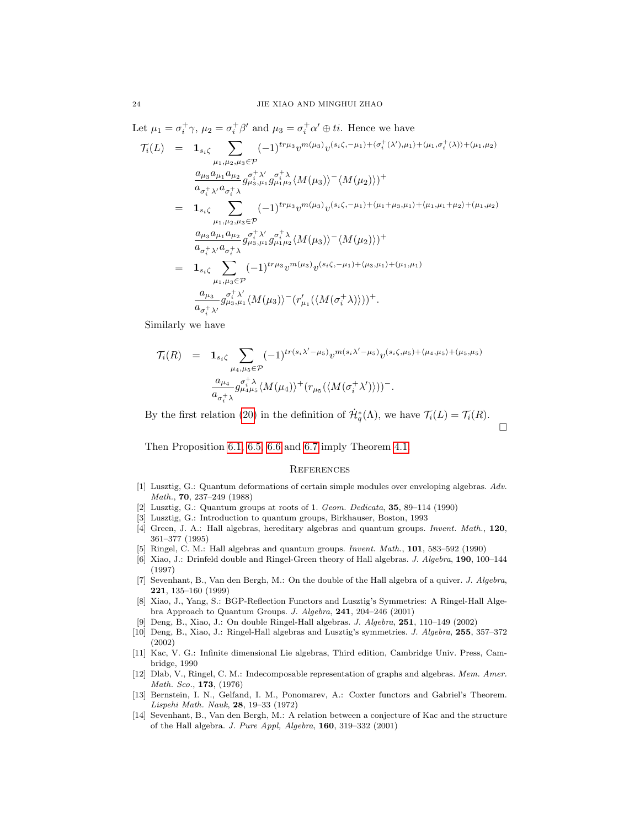Let  $\mu_1 = \sigma_i^+ \gamma$ ,  $\mu_2 = \sigma_i^+ \beta'$  and  $\mu_3 = \sigma_i^+ \alpha' \oplus ti$ . Hence we have

$$
\mathcal{T}_{i}(L) = \mathbf{1}_{s_{i}\zeta} \sum_{\mu_{1},\mu_{2},\mu_{3}\in\mathcal{P}} (-1)^{tr\mu_{3}} v^{m(\mu_{3})} v^{(s_{i}\zeta,-\mu_{1})+\langle\sigma_{i}^{+}(\lambda'),\mu_{1}\rangle+\langle\mu_{1},\sigma_{i}^{+}(\lambda)\rangle+\langle\mu_{1},\mu_{2}\rangle} \n\frac{a_{\mu_{3}} a_{\mu_{1}} a_{\mu_{2}}}{a_{\sigma_{i}^{+}\lambda'} a_{\sigma_{i}^{+}\lambda}} g^{\sigma_{i}^{+}\lambda'}_{\mu_{3},\mu_{1}} g^{\sigma_{i}^{+}\lambda'}_{\mu_{1}\mu_{2}} \langle M(\mu_{3})\rangle - \langle M(\mu_{2})\rangle) + \n= \mathbf{1}_{s_{i}\zeta} \sum_{\mu_{1},\mu_{2},\mu_{3}\in\mathcal{P}} (-1)^{tr\mu_{3}} v^{m(\mu_{3})} v^{(s_{i}\zeta,-\mu_{1})+\langle\mu_{1}+\mu_{3},\mu_{1}\rangle+\langle\mu_{1},\mu_{1}+\mu_{2}\rangle+\langle\mu_{1},\mu_{2}\rangle} \n\frac{a_{\mu_{3}} a_{\mu_{1}} a_{\mu_{2}}}{a_{\sigma_{i}^{+}\lambda'} a_{\sigma_{i}^{+}\lambda}} g^{\sigma_{i}^{+}\lambda'}_{\mu_{3},\mu_{1}} g^{\sigma_{i}^{+}\lambda}_{\mu_{1}\mu_{2}} \langle M(\mu_{3})\rangle - \langle M(\mu_{2})\rangle) + \n= \mathbf{1}_{s_{i}\zeta} \sum_{\mu_{1},\mu_{3}\in\mathcal{P}} (-1)^{tr\mu_{3}} v^{m(\mu_{3})} v^{(s_{i}\zeta,-\mu_{1})+\langle\mu_{3},\mu_{1}\rangle+\langle\mu_{1},\mu_{1}\rangle} \n\frac{a_{\mu_{3}}}{a_{\sigma_{i}^{+}\lambda'}} g^{\sigma_{i}^{+}\lambda'}_{\mu_{3},\mu_{1}} \langle M(\mu_{3})\rangle - (r'_{\mu_{1}}(\langle M(\sigma_{i}^{+}\lambda)\rangle))^{+}.
$$

Similarly we have

$$
\mathcal{T}_{i}(R) = \mathbf{1}_{s_{i}\zeta} \sum_{\mu_{4},\mu_{5} \in \mathcal{P}} (-1)^{tr(s_{i}\lambda' - \mu_{5})} v^{m(s_{i}\lambda' - \mu_{5})} v^{(s_{i}\zeta,\mu_{5}) + \langle \mu_{4},\mu_{5} \rangle + \langle \mu_{5},\mu_{5} \rangle}
$$

$$
\frac{a_{\mu_{4}}}{a_{\sigma_{i}^{+}\lambda}} g_{\mu_{4}\mu_{5}}^{\sigma_{i}^{+}\lambda} \langle M(\mu_{4}) \rangle^{+} (r_{\mu_{5}} (\langle M(\sigma_{i}^{+}\lambda') \rangle))^{-}.
$$

By the first relation [\(20\)](#page-7-1) in the definition of  $\dot{\mathcal{H}}_q^*(\Lambda)$ , we have  $\mathcal{T}_i(L) = \mathcal{T}_i(R)$ .  $\Box$ 

Then Proposition [6.1,](#page-17-0) [6.5,](#page-20-1) [6.6](#page-20-2) and [6.7](#page-21-0) imply Theorem [4.1.](#page-9-2)

#### **REFERENCES**

- <span id="page-23-0"></span>[1] Lusztig, G.: Quantum deformations of certain simple modules over enveloping algebras. Adv. Math., 70, 237–249 (1988)
- <span id="page-23-1"></span>[2] Lusztig, G.: Quantum groups at roots of 1. Geom. Dedicata,  $35, 89-114$  (1990)
- <span id="page-23-2"></span>[3] Lusztig, G.: Introduction to quantum groups, Birkhauser, Boston, 1993
- <span id="page-23-3"></span>[4] Green, J. A.: Hall algebras, hereditary algebras and quantum groups. Invent. Math., 120, 361–377 (1995)
- <span id="page-23-4"></span>[5] Ringel, C. M.: Hall algebras and quantum groups. Invent. Math., 101, 583–592 (1990)
- <span id="page-23-5"></span>[6] Xiao, J.: Drinfeld double and Ringel-Green theory of Hall algebras. J. Algebra, 190, 100–144 (1997)
- <span id="page-23-6"></span>[7] Sevenhant, B., Van den Bergh, M.: On the double of the Hall algebra of a quiver. J. Algebra, 221, 135–160 (1999)
- <span id="page-23-7"></span>[8] Xiao, J., Yang, S.: BGP-Reflection Functors and Lusztig's Symmetries: A Ringel-Hall Algebra Approach to Quantum Groups. J. Algebra, 241, 204–246 (2001)
- <span id="page-23-8"></span>[9] Deng, B., Xiao, J.: On double Ringel-Hall algebras. J. Algebra, 251, 110–149 (2002)
- <span id="page-23-9"></span>[10] Deng, B., Xiao, J.: Ringel-Hall algebras and Lusztig's symmetries. J. Algebra, 255, 357–372 (2002)
- <span id="page-23-10"></span>[11] Kac, V. G.: Infinite dimensional Lie algebras, Third edition, Cambridge Univ. Press, Cambridge, 1990
- <span id="page-23-11"></span>[12] Dlab, V., Ringel, C. M.: Indecomposable representation of graphs and algebras. Mem. Amer. Math. Sco., 173, (1976)
- <span id="page-23-12"></span>[13] Bernstein, I. N., Gelfand, I. M., Ponomarev, A.: Coxter functors and Gabriel's Theorem. Lispehi Math. Nauk, 28, 19–33 (1972)
- <span id="page-23-13"></span>[14] Sevenhant, B., Van den Bergh, M.: A relation between a conjecture of Kac and the structure of the Hall algebra. J. Pure Appl, Algebra, 160, 319–332 (2001)